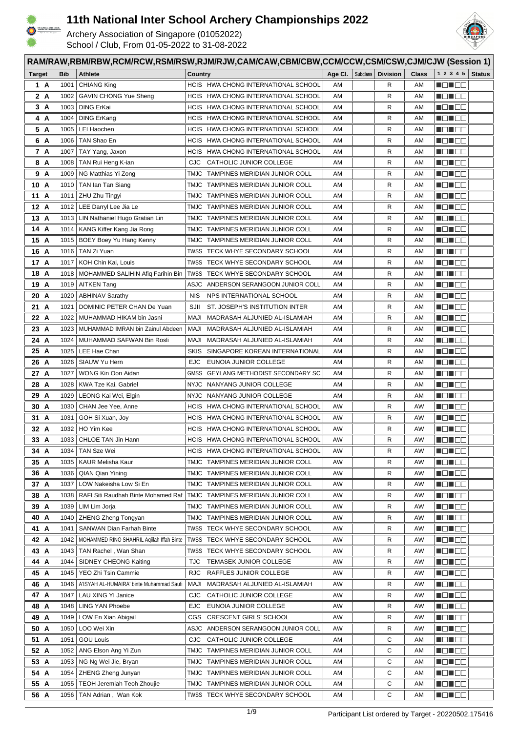



|               | RAM/RAW,RBM/RBW,RCM/RCW,RSM/RSW,RJM/RJW,CAM/CAW,CBM/CBW,CCM/CCW,CSM/CSW,CJM/CJW (Session 1) |                                           |                                                                            |          |          |                 |              |                                                                                                                       |               |  |
|---------------|---------------------------------------------------------------------------------------------|-------------------------------------------|----------------------------------------------------------------------------|----------|----------|-----------------|--------------|-----------------------------------------------------------------------------------------------------------------------|---------------|--|
| <b>Target</b> | <b>Bib</b>                                                                                  | <b>Athlete</b>                            | Country                                                                    | Age CI.  | Subclass | <b>Division</b> | <b>Class</b> | 1 2 3 4 5                                                                                                             | <b>Status</b> |  |
| 1 A           | 1001                                                                                        | <b>CHIANG King</b>                        | HCIS HWA CHONG INTERNATIONAL SCHOOL                                        | AM       |          | R               | AM           | N EN EN                                                                                                               |               |  |
| 2 A           | 1002                                                                                        | <b>GAVIN CHONG Yue Sheng</b>              | HCIS HWA CHONG INTERNATIONAL SCHOOL                                        | AM       |          | R               | AM           | <u> Henri Billi</u>                                                                                                   |               |  |
| 3 A           | 1003                                                                                        | DING ErKai                                | HCIS HWA CHONG INTERNATIONAL SCHOOL                                        | AM       |          | R               | AM           | NG NGC                                                                                                                |               |  |
| 4 A           | 1004                                                                                        | <b>DING ErKang</b>                        | HCIS HWA CHONG INTERNATIONAL SCHOOL                                        | AM       |          | R               | AM           | NG NG S                                                                                                               |               |  |
| 5 A           | 1005                                                                                        | LEI Haochen                               | HCIS HWA CHONG INTERNATIONAL SCHOOL                                        | AM       |          | R               | AM           | HEN EE                                                                                                                |               |  |
| 6 A           | 1006                                                                                        | TAN Shao En                               | HCIS HWA CHONG INTERNATIONAL SCHOOL                                        | AM       |          | R               | AM           | <u> Henders</u>                                                                                                       |               |  |
| 7 A           | 1007                                                                                        | TAY Yang, Jaxon                           | HWA CHONG INTERNATIONAL SCHOOL<br><b>HCIS</b>                              | AM       |          | R               | AM           | N DI BE                                                                                                               |               |  |
| 8 A           | 1008                                                                                        | TAN Rui Heng K-ian                        | CATHOLIC JUNIOR COLLEGE<br><b>CJC</b>                                      | AM       |          | R               | AM           | n di Be                                                                                                               |               |  |
| 9 A           | 1009                                                                                        | NG Matthias Yi Zong                       | TMJC<br>TAMPINES MERIDIAN JUNIOR COLL                                      | AM       |          | R               | AM           | <u> Hallen</u>                                                                                                        |               |  |
| 10 A          | 1010                                                                                        | TAN Ian Tan Siang                         | TMJC TAMPINES MERIDIAN JUNIOR COLL                                         | AM       |          | R               | AM           | - 8 - 8 -                                                                                                             |               |  |
| 11 A          | 1011                                                                                        | ZHU Zhu Tingyi                            | TMJC TAMPINES MERIDIAN JUNIOR COLL                                         | AM       |          | R               | AM           | - 8 - 8 -                                                                                                             |               |  |
| 12 A          | 1012                                                                                        | LEE Darryl Lee Jia Le                     | TMJC<br>TAMPINES MERIDIAN JUNIOR COLL                                      | AM       |          | R               | AM           | - 8 - 8 -                                                                                                             |               |  |
| 13 A          |                                                                                             | 1013   LIN Nathaniel Hugo Gratian Lin     | TMJC TAMPINES MERIDIAN JUNIOR COLL                                         | AM       |          | R               | AM           | HE HE HE                                                                                                              |               |  |
| 14 A          | 1014                                                                                        | KANG Kiffer Kang Jia Rong                 | TMJC TAMPINES MERIDIAN JUNIOR COLL                                         | AM       |          | R               | AM           | MO ME E                                                                                                               |               |  |
| 15 A          | 1015                                                                                        | <b>BOEY Boey Yu Hang Kenny</b>            | TMJC TAMPINES MERIDIAN JUNIOR COLL                                         | AM       |          | R               | AM           | MEN E E                                                                                                               |               |  |
| 16 A          | 1016                                                                                        | TAN Zi Yuan                               | TWSS<br>TECK WHYE SECONDARY SCHOOL                                         | AM       |          | R               | AM           | MEN DE                                                                                                                |               |  |
| 17 A          | 1017                                                                                        | KOH Chin Kai, Louis                       | TWSS<br>TECK WHYE SECONDARY SCHOOL                                         | AM       |          | R               | AM           | MEN E E                                                                                                               |               |  |
| 18 A          | 1018                                                                                        | MOHAMMED SALIHIN Afig Farihin Bin         | TWSS<br>TECK WHYE SECONDARY SCHOOL                                         | AM       |          | R               | AM           | <u> Helia Sis</u>                                                                                                     |               |  |
| 19 A          | 1019                                                                                        | <b>AITKEN Tang</b>                        | ASJC - ANDERSON SERANGOON JUNIOR COLL                                      | AM       |          | R               | AM           | ME ME O                                                                                                               |               |  |
| 20 A          | 1020                                                                                        | <b>ABHINAV Sarathy</b>                    | <b>NIS</b><br>NPS INTERNATIONAL SCHOOL                                     | AM       |          | R               | AM           | HEHEE                                                                                                                 |               |  |
| 21 A          | 1021                                                                                        | DOMINIC PETER CHAN De Yuan                | SJII<br>ST. JOSEPH'S INSTITUTION INTER                                     | AM       |          | R               | AM           | H 8 8 8 8                                                                                                             |               |  |
| 22 A          | 1022                                                                                        | MUHAMMAD HIKAM bin Jasni                  | MADRASAH ALJUNIED AL-ISLAMIAH<br>MAJI                                      | AM       |          | R               | AM           | NON DOI                                                                                                               |               |  |
| 23 A          | 1023                                                                                        | MUHAMMAD IMRAN bin Zainul Abdeen          | MADRASAH ALJUNIED AL-ISLAMIAH<br>MAJI                                      | AM       |          | R               | AM           | MON OO                                                                                                                |               |  |
| 24 A          | 1024                                                                                        | MUHAMMAD SAFWAN Bin Rosli                 | MADRASAH ALJUNIED AL-ISLAMIAH<br>MAJI                                      | AM       |          | R               | AM           | MEN E E                                                                                                               |               |  |
| 25 A          | 1025                                                                                        | LEE Hae Chan                              | SINGAPORE KOREAN INTERNATIONAL<br><b>SKIS</b>                              | AM       |          | R               | AM           | HE 182                                                                                                                |               |  |
| 26 A          | 1026                                                                                        | SIAUW Yu Hern                             | EUNOIA JUNIOR COLLEGE<br><b>EJC</b>                                        | AM       |          | R               | AM           | HE 182                                                                                                                |               |  |
| 27 A          | 1027                                                                                        | WONG Kin Oon Aidan                        | GMSS<br>GEYLANG METHODIST SECONDARY SC                                     | AM       |          | R               | AM           |                                                                                                                       |               |  |
| 28 A          | 1028                                                                                        | KWA Tze Kai, Gabriel                      | NYJC NANYANG JUNIOR COLLEGE                                                | AM       |          | R               | AM           | HE 192                                                                                                                |               |  |
| 29 A          | 1029                                                                                        | LEONG Kai Wei, Elgin                      | NYJC NANYANG JUNIOR COLLEGE                                                | AM       |          | R               | AM           | HE 192                                                                                                                |               |  |
| 30 A          | 1030                                                                                        | CHAN Jee Yee, Anne                        | HCIS HWA CHONG INTERNATIONAL SCHOOL                                        | AW       |          | R               | AW           | MEN E E                                                                                                               |               |  |
| 31 A          | 1031                                                                                        | GOH Si Xuan, Joy                          | HCIS HWA CHONG INTERNATIONAL SCHOOL                                        | AW       |          | R               | AW           | <u> Helio So</u>                                                                                                      |               |  |
| 32 A          | 1032                                                                                        | HO Yim Kee<br>1033   CHLOE TAN Jin Hann   | HCIS HWA CHONG INTERNATIONAL SCHOOL                                        | AW<br>AW |          | R<br>R          | AW           | HE 195                                                                                                                |               |  |
| 33 A<br>34 A  | 1034                                                                                        | TAN Sze Wei                               | HCIS HWA CHONG INTERNATIONAL SCHOOL<br>HCIS HWA CHONG INTERNATIONAL SCHOOL | AW       |          | R               | AW<br>AW     | <u> Heilige</u>                                                                                                       |               |  |
| 35 A          | 1035                                                                                        | KAUR Melisha Kaur                         | TMJC TAMPINES MERIDIAN JUNIOR COLL                                         | AW       |          | R               | AW           | MEN E E                                                                                                               |               |  |
| 36 A          | 1036                                                                                        | <b>QIAN Qian Yining</b>                   | TAMPINES MERIDIAN JUNIOR COLL<br>TMJC                                      | AW       |          | R               | AW           | <u> Hendrich Sta</u>                                                                                                  |               |  |
| 37 A          | 1037                                                                                        | LOW Nakeisha Low Si En                    | TMJC TAMPINES MERIDIAN JUNIOR COLL                                         | AW       |          | R               | AW           | <u> Hendrich Sta</u>                                                                                                  |               |  |
| 38 A          | 1038                                                                                        | RAFI Siti Raudhah Binte Mohamed Raf       | TMJC TAMPINES MERIDIAN JUNIOR COLL                                         | AW       |          | R               | AW           | N BING BI                                                                                                             |               |  |
| 39 A          | 1039                                                                                        | LIM Lim Jorja                             | TMJC TAMPINES MERIDIAN JUNIOR COLL                                         | AW       |          | R               | AW           | N SI SE                                                                                                               |               |  |
| 40 A          | 1040                                                                                        | <b>ZHENG Zheng Tongyan</b>                | TMJC TAMPINES MERIDIAN JUNIOR COLL                                         | AW       |          | R               | AW           | N DI BE                                                                                                               |               |  |
| 41 A          | 1041                                                                                        | SANWAN Dian Farhah Binte                  | TWSS TECK WHYE SECONDARY SCHOOL                                            | AW       |          | R               | AW           | <u> Helio Helio Helio Helio Helio Helio Helio Helio Helio Helio Helio Helio Helio Helio Helio Helio Helio Helio H</u> |               |  |
| 42 A          | 1042                                                                                        | MOHAMMED RINO SHAHRIL Agiilah Iffah Binte | TECK WHYE SECONDARY SCHOOL<br>TWSS                                         | AW       |          | R               | AW           | MEN EE                                                                                                                |               |  |
| 43 A          | 1043                                                                                        | TAN Rachel, Wan Shan                      | TWSS TECK WHYE SECONDARY SCHOOL                                            | AW       |          | R               | AW           |                                                                                                                       |               |  |
| 44 A          | 1044                                                                                        | SIDNEY CHEONG Kaiting                     | TEMASEK JUNIOR COLLEGE<br>TJC                                              | AW       |          | R               | AW           | 80 D D                                                                                                                |               |  |
| 45 A          | 1045                                                                                        | YEO Zhi Tsin Cammie                       | RAFFLES JUNIOR COLLEGE<br><b>RJC</b>                                       | AW       |          | R               | AW           | MON 88                                                                                                                |               |  |
| 46 A          | 1046                                                                                        | A'ISYAH AL-HUMAIRA' binte Muhammad Saufi  | MADRASAH ALJUNIED AL-ISLAMIAH<br>MAJI                                      | AW       |          | R               | AW           | Martin Billi                                                                                                          |               |  |
| 47 A          | 1047                                                                                        | LAU XING YI Janice                        | CATHOLIC JUNIOR COLLEGE<br><b>CJC</b>                                      | AW       |          | R               | AW           | MO MOO                                                                                                                |               |  |
| 48 A          | 1048                                                                                        | LING YAN Phoebe                           | EUNOIA JUNIOR COLLEGE<br><b>EJC</b>                                        | AW       |          | R               | AW           | <b>Report</b>                                                                                                         |               |  |
| 49 A          | 1049                                                                                        | LOW En Xian Abigail                       | <b>CGS</b><br><b>CRESCENT GIRLS' SCHOOL</b>                                | AW       |          | R               | AW           | <u> Hele Se</u>                                                                                                       |               |  |
| 50 A          | 1050                                                                                        | LOO Wei Xin                               | ASJC<br>ANDERSON SERANGOON JUNIOR COLL                                     | AW       |          | R               | AW           | MON OO                                                                                                                |               |  |
| 51 A          | 1051                                                                                        | <b>GOU Louis</b>                          | CATHOLIC JUNIOR COLLEGE<br><b>CJC</b>                                      | AM       |          | С               | AM           | MO MOO                                                                                                                |               |  |
| 52 A          | 1052                                                                                        | ANG Elson Ang Yi Zun                      | TAMPINES MERIDIAN JUNIOR COLL<br>TMJC                                      | AM       |          | С               | AM           | MO MO S                                                                                                               |               |  |
| 53 A          | 1053                                                                                        | NG Ng Wei Jie, Bryan                      | TMJC TAMPINES MERIDIAN JUNIOR COLL                                         | AM       |          | С               | AM           | MEN E E                                                                                                               |               |  |
| 54 A          | 1054                                                                                        | ZHENG Zheng Junyan                        | TMJC TAMPINES MERIDIAN JUNIOR COLL                                         | AM       |          | С               | AM           | MON OO                                                                                                                |               |  |
| 55 A          | 1055                                                                                        | <b>TEOH Jeremiah Teoh Zhoujie</b>         | TMJC TAMPINES MERIDIAN JUNIOR COLL                                         | AM       |          | С               | AM           |                                                                                                                       |               |  |
| 56 A          | 1056                                                                                        | TAN Adrian, Wan Kok                       | TWSS TECK WHYE SECONDARY SCHOOL                                            | AM       |          | С               | AM           | MON OO                                                                                                                |               |  |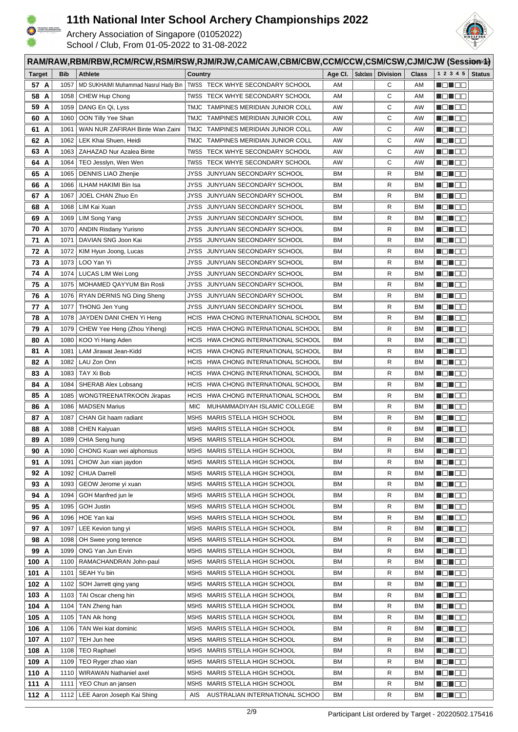



| RAM/RAW,RBM/RBW,RCM/RCW,RSM/RSW,RJM/RJW,CAM/CAW,CBM/CBW,CCM/CCW,CSM/CSW,CJM/CJW (Sessionid) |              |                                             |                                                                |                 |  |                     |                        |                     |               |
|---------------------------------------------------------------------------------------------|--------------|---------------------------------------------|----------------------------------------------------------------|-----------------|--|---------------------|------------------------|---------------------|---------------|
| <b>Target</b>                                                                               | <b>Bib</b>   | <b>Athlete</b>                              | Country                                                        | Age Cl. $\vert$ |  | Subclass   Division | <b>Class</b>           | 1 2 3 4 5           | <b>Status</b> |
| 57 A                                                                                        | 1057         | MD SUKHAIMI Muhammad Nasrul Hady Bin        | TWSS TECK WHYE SECONDARY SCHOOL                                | AM              |  | C                   | AM                     | n din Ele           |               |
| 58 A                                                                                        | 1058         | CHEW Hup Chong                              | TWSS TECK WHYE SECONDARY SCHOOL                                | AM              |  | С                   | AM                     | MONDO               |               |
| 59 A                                                                                        | 1059         | DANG En Qi, Lyss                            | TMJC TAMPINES MERIDIAN JUNIOR COLL                             | AW              |  | С                   | AW                     |                     |               |
| 60 A                                                                                        | 1060         | OON Tilly Yee Shan                          | TMJC TAMPINES MERIDIAN JUNIOR COLL                             | AW              |  | С                   | AW                     | N EN EE             |               |
| 61 A                                                                                        | 1061         | WAN NUR ZAFIRAH Binte Wan Zaini             | TMJC TAMPINES MERIDIAN JUNIOR COLL                             | AW              |  | С                   | AW                     | <u> Henric Bi</u>   |               |
| 62 A                                                                                        | 1062         | LEK Khai Shuen, Heidi                       | TMJC TAMPINES MERIDIAN JUNIOR COLL                             | AW              |  | C                   | AW                     | HE HE               |               |
| 63 A                                                                                        | 1063         | ZAHAZAD Nur Azalea Binte                    | TWSS TECK WHYE SECONDARY SCHOOL                                | AW              |  | С                   | AW                     | n din bin           |               |
| 64 A                                                                                        | 1064         | TEO Jesslyn, Wen Wen                        | TWSS TECK WHYE SECONDARY SCHOOL                                | AW              |  | С                   | AW                     | N DI DE             |               |
| 65 A                                                                                        | 1065         | <b>DENNIS LIAO Zhenjie</b>                  | JUNYUAN SECONDARY SCHOOL<br>JYSS                               | BM              |  | R                   | BM                     | HE EE               |               |
| 66 A                                                                                        | 1066         | ILHAM HAKIMI Bin Isa                        | JYSS<br>JUNYUAN SECONDARY SCHOOL                               | BM              |  | R                   | BM                     | Mala kata           |               |
| 67 A                                                                                        | 1067         | JOEL CHAN Zhuo En                           | JYSS   JUNYUAN SECONDARY SCHOOL                                | BM.             |  | R                   | BM                     | MEN DE              |               |
| 68 A                                                                                        | 1068         | LIM Kai Xuan                                | JYSS   JUNYUAN SECONDARY SCHOOL                                | BM.             |  | R                   | BM                     | MON OO              |               |
| 69 A                                                                                        | 1069         | LIM Song Yang                               | JYSS   JUNYUAN SECONDARY SCHOOL                                | BM              |  | R                   | <b>BM</b>              |                     |               |
| 70 A                                                                                        | 1070         | <b>ANDIN Risdany Yurisno</b>                | JYSS<br>JUNYUAN SECONDARY SCHOOL                               | BM              |  | R                   | ВM                     | Maria 1919          |               |
| 71 A                                                                                        | 1071         | DAVIAN SNG Joon Kai                         | JYSS   JUNYUAN SECONDARY SCHOOL                                | ВM              |  | R                   | ВM                     | Mana a              |               |
| 72 A                                                                                        | 1072         | KIM Hyun Joong, Lucas                       | JYSS JUNYUAN SECONDARY SCHOOL                                  | BM              |  | R                   | BM                     | MEN DE              |               |
| 73 A                                                                                        | 1073         | LOO Yan Yi                                  | JUNYUAN SECONDARY SCHOOL<br>JYSS                               | BM              |  | R                   | BM                     | MEN E E             |               |
| 74 A                                                                                        | 1074         | LUCAS LIM Wei Long                          | JYSS<br>JUNYUAN SECONDARY SCHOOL                               | BM.             |  | R                   | BM                     | MEN E E             |               |
| 75 A                                                                                        | 1075         | MOHAMED QAYYUM Bin Rosli                    | JYSS   JUNYUAN SECONDARY SCHOOL                                | ВM              |  | R                   | BM                     | MEN E E             |               |
| 76 A                                                                                        | 1076         | RYAN DERNIS NG Ding Sheng                   | JYSS   JUNYUAN SECONDARY SCHOOL                                | BM.             |  | R                   | BM                     | Malia de            |               |
| 77 A                                                                                        | 1077         | <b>THONG Jen Yung</b>                       | JYSS JUNYUAN SECONDARY SCHOOL                                  | <b>BM</b>       |  | R                   | BM                     | HE HE               |               |
| 78 A                                                                                        | 1078         | JAYDEN DANI CHEN Yi Heng                    | HCIS HWA CHONG INTERNATIONAL SCHOOL                            | BM              |  | R                   | BM                     | HE HE               |               |
| 79 A                                                                                        | 1079         | CHEW Yee Heng (Zhou Yiheng)                 | HCIS HWA CHONG INTERNATIONAL SCHOOL                            | ВM              |  | R                   | ВM                     | MON 80              |               |
| 80 A                                                                                        | 1080         | KOO Yi Hang Aden                            | HCIS HWA CHONG INTERNATIONAL SCHOOL                            | ВM              |  | R                   | BM                     | MON OO              |               |
| 81 A                                                                                        | 1081         | LAM Jirawat Jean-Kidd                       | HCIS HWA CHONG INTERNATIONAL SCHOOL                            | BM              |  | R                   | ВM                     | MEN E E             |               |
| 82 A                                                                                        | 1082         | LAU Zon Onn                                 | HCIS HWA CHONG INTERNATIONAL SCHOOL                            | BM              |  | R                   | BM                     | NG NGC              |               |
| 83 A                                                                                        | 1083         | TAY Xi Bob                                  | HCIS HWA CHONG INTERNATIONAL SCHOOL                            | BМ              |  | R                   | ВM                     | MO U O U            |               |
| 84 A                                                                                        | 1084         | SHERAB Alex Lobsang                         | HCIS HWA CHONG INTERNATIONAL SCHOOL                            | BM              |  | R                   | <b>BM</b>              | MON 80              |               |
| 85 A                                                                                        | 1085         | WONGTREENATRKOON Jirapas                    | HCIS HWA CHONG INTERNATIONAL SCHOOL                            | BM              |  | R                   | BM                     | MA NA T             |               |
| 86 A                                                                                        | 1086         | <b>MADSEN Marius</b>                        | MUHAMMADIYAH ISLAMIC COLLEGE<br>MIC                            | BM              |  | R                   | BM                     | HE HE               |               |
| 87 A                                                                                        | 1087         | CHAN Git haam radiant                       | MSHS MARIS STELLA HIGH SCHOOL                                  | ВM              |  | R                   | ВM                     | MEN E E             |               |
| 88 A                                                                                        | 1088         | <b>CHEN Kaiyuan</b>                         | MSHS MARIS STELLA HIGH SCHOOL                                  | ВM              |  | R                   | BM                     | <u> Hall a s</u>    |               |
| 89 A                                                                                        | 1089         | CHIA Seng hung                              | MSHS MARIS STELLA HIGH SCHOOL                                  | ВM              |  | R                   | <b>BM</b>              | N DI DE             |               |
| 90 A                                                                                        | 1090         | CHONG Kuan wei alphonsus                    | MSHS MARIS STELLA HIGH SCHOOL                                  | ВM              |  | R                   | BM                     |                     |               |
| 91 A                                                                                        | 1091         | CHOW Jun xian jaydon<br><b>CHUA Darrell</b> | MSHS MARIS STELLA HIGH SCHOOL                                  | ВM<br>ВM        |  | R                   | <b>BM</b><br><b>BM</b> | de de la<br>U DU DE |               |
| 92 A<br>93 A                                                                                | 1092<br>1093 | GEOW Jerome yi xuan                         | MSHS MARIS STELLA HIGH SCHOOL<br>MSHS MARIS STELLA HIGH SCHOOL | ВM              |  | R<br>R              | BM                     | NG NGC              |               |
| 94 A                                                                                        | 1094         | GOH Manfred jun le                          | MSHS MARIS STELLA HIGH SCHOOL                                  | ВM              |  | R                   | BM                     |                     |               |
| 95 A                                                                                        | 1095         | <b>GOH Justin</b>                           | MARIS STELLA HIGH SCHOOL<br>MSHS                               | ВM              |  | R                   | BM                     | NO HOO              |               |
| 96 A                                                                                        | 1096         | HOE Yan kai                                 | MARIS STELLA HIGH SCHOOL<br>MSHS                               | ВM              |  | R                   | <b>BM</b>              |                     |               |
| 97 A                                                                                        | 1097         | LEE Kevion tung yi                          | MARIS STELLA HIGH SCHOOL<br>MSHS                               | ВM              |  | R                   | BM                     | NO HEL              |               |
| 98 A                                                                                        | 1098         | OH Swee yong terence                        | MSHS MARIS STELLA HIGH SCHOOL                                  | ВM              |  | R                   | ВM                     | MEN EE              |               |
| 99 A                                                                                        | 1099         | ONG Yan Jun Ervin                           | MARIS STELLA HIGH SCHOOL<br>MSHS                               | ВM              |  | R                   | BM                     | <u> de la c</u>     |               |
| 100 A                                                                                       | 1100         | RAMACHANDRAN John-paul                      | MSHS MARIS STELLA HIGH SCHOOL                                  | ВM              |  | R                   | <b>BM</b>              |                     |               |
| 101 A                                                                                       | 1101         | SEAH Yu bin                                 | MSHS MARIS STELLA HIGH SCHOOL                                  | ВM              |  | R                   | BM                     | NG NG 20            |               |
| 102 A                                                                                       | 1102         | SOH Jarrett qing yang                       | MSHS MARIS STELLA HIGH SCHOOL                                  | ВM              |  | R                   | BM                     | 80 D D D            |               |
| 103 A                                                                                       | 1103         | TAI Oscar cheng hin                         | MSHS<br>MARIS STELLA HIGH SCHOOL                               | ВM              |  | R                   | BM                     | MEN EE              |               |
| 104 A                                                                                       | 1104         | TAN Zheng han                               | MARIS STELLA HIGH SCHOOL<br>MSHS                               | ВM              |  | R                   | BM                     | Mana a Sid          |               |
| 105 A                                                                                       | 1105         | TAN Aik hong                                | MARIS STELLA HIGH SCHOOL<br>MSHS                               | ВM              |  | R                   | BM                     | <b>NOTES</b>        |               |
| 106 A                                                                                       | 1106         | TAN Wei kiat dominic                        | MSHS MARIS STELLA HIGH SCHOOL                                  | ВM              |  | R                   | BM                     | Man ao              |               |
| 107 A                                                                                       | 1107         | TEH Jun hee                                 | MARIS STELLA HIGH SCHOOL<br>MSHS                               | ВM              |  | R                   | ВM                     | MEN EE              |               |
| 108 A                                                                                       | 1108         | <b>TEO Raphael</b>                          | MARIS STELLA HIGH SCHOOL<br>MSHS                               | ВM              |  | R                   | BM                     | 80 D D D            |               |
| 109 A                                                                                       | 1109         | TEO Ryger zhao xian                         | MARIS STELLA HIGH SCHOOL<br>MSHS                               | ВM              |  | R                   | BM                     | NG NGC              |               |
| 110 A                                                                                       | 1110         | WIRAWAN Nathaniel axel                      | MSHS MARIS STELLA HIGH SCHOOL                                  | ВM              |  | R                   | BM                     | NG NGC              |               |
| 111 A                                                                                       | 1111         | YEO Chun an jansen                          | <b>MSHS</b><br>MARIS STELLA HIGH SCHOOL                        | ВM              |  | R                   | BM                     | NG NGC              |               |
| 112 A                                                                                       | 1112         | LEE Aaron Joseph Kai Shing                  | AUSTRALIAN INTERNATIONAL SCHOO<br>AIS                          | ВM              |  | R                   | BM                     | MON OO              |               |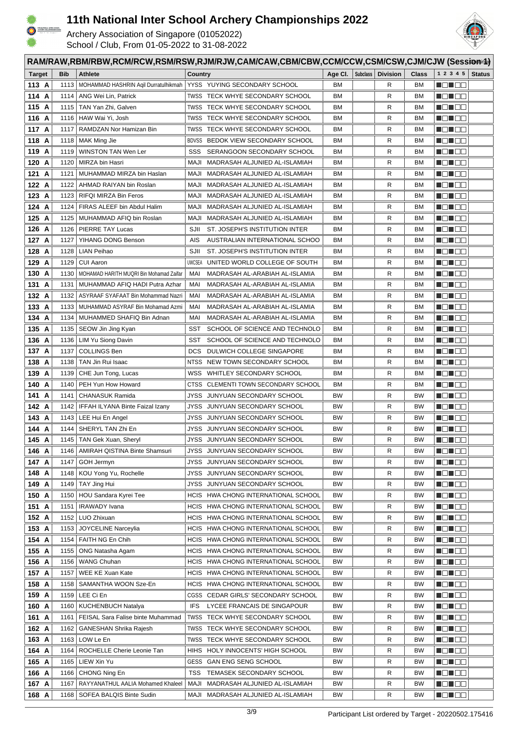

HTIB-SCHOOL<br>MOKSEMS 3222

# **11th National Inter School Archery Championships 2022**



|               | RAM/RAW,RBM/RBW,RCM/RCW,RSM/RSW,RJM/RJW,CAM/CAW,CBM/CBW,CCM/CCW,CSM/CSW,CJM/CJW (Sessionid) |            |                                         |                                                |           |          |                 |              |                   |               |
|---------------|---------------------------------------------------------------------------------------------|------------|-----------------------------------------|------------------------------------------------|-----------|----------|-----------------|--------------|-------------------|---------------|
| <b>Target</b> |                                                                                             | <b>Bib</b> | <b>Athlete</b>                          | Country                                        | Age CI.   | Subclass | <b>Division</b> | <b>Class</b> | 1 2 3 4 5         | <b>Status</b> |
| 113 A         |                                                                                             | 1113       | MOHAMMAD HASHRIN Agil Durratulhikmah    | YYSS YUYING SECONDARY SCHOOL                   | BM.       |          | R               | ВM           | MEN E E           |               |
| 114 A         |                                                                                             | 1114       | ANG Wei Lin, Patrick                    | TWSS TECK WHYE SECONDARY SCHOOL                | BM.       |          | R               | BM           |                   |               |
| 115 A         |                                                                                             | 1115       | TAN Yan Zhi, Galven                     | TWSS TECK WHYE SECONDARY SCHOOL                | BM.       |          | R               | BM           | e de la co        |               |
| 116 A         |                                                                                             | 1116       | HAW Wai Yi, Josh                        | TWSS TECK WHYE SECONDARY SCHOOL                | ВM        |          | R               | BM           | e de la co        |               |
| 117 A         |                                                                                             | 1117       | RAMDZAN Nor Hamizan Bin                 | TWSS TECK WHYE SECONDARY SCHOOL                | BM.       |          | R               | ВM           |                   |               |
| 118 A         |                                                                                             |            | 1118   MAK Ming Jie                     | BDVSS BEDOK VIEW SECONDARY SCHOOL              | ВM        |          | R               | ВM           | <u> Hell ee</u>   |               |
| 119 A         |                                                                                             | 1119       | WINSTON TAN Wen Ler                     | SSS<br>SERANGOON SECONDARY SCHOOL              | BM        |          | R               | BM           | MEN E E           |               |
| 120 A         |                                                                                             | 1120       | MIRZA bin Hasri                         | MAJI<br>MADRASAH ALJUNIED AL-ISLAMIAH          | BМ        |          | R               | ВM           | n din se          |               |
| 121 A         |                                                                                             | 1121       | MUHAMMAD MIRZA bin Haslan               | MAJI<br>MADRASAH ALJUNIED AL-ISLAMIAH          | BM.       |          | R               | ВM           | MEN E E           |               |
| 122 A         |                                                                                             | 1122       | AHMAD RAIYAN bin Roslan                 | MAJI<br>MADRASAH ALJUNIED AL-ISLAMIAH          | BM        |          | R               | BM           | <u> de la c</u>   |               |
| 123 A         |                                                                                             | 1123       | RIFQI MIRZA Bin Feros                   | MADRASAH ALJUNIED AL-ISLAMIAH<br>MAJI          | BM.       |          | R               | BM           | - 8 - 8 -         |               |
| 124 A         |                                                                                             | 1124       | FIRAS ALEEF bin Abdul Halim             | MAJI<br>MADRASAH ALJUNIED AL-ISLAMIAH          | BM.       |          | R               | BM           | _____             |               |
| 125 A         |                                                                                             | 1125       | MUHAMMAD AFIQ bin Roslan                | MAJI<br>MADRASAH ALJUNIED AL-ISLAMIAH          | ВM        |          | R               | ВM           | HEHEE             |               |
| 126 A         |                                                                                             | 1126       | <b>PIERRE TAY Lucas</b>                 | SJII<br>ST. JOSEPH'S INSTITUTION INTER         | ВM        |          | R               | BM           | MEN E E           |               |
| 127 A         |                                                                                             | 1127       | YIHANG DONG Benson                      | AIS<br>AUSTRALIAN INTERNATIONAL SCHOO          | BM        |          | R               | ВM           | MEN DE            |               |
| 128 A         |                                                                                             | 1128       | LIAN Peihao                             | SJII<br>ST. JOSEPH'S INSTITUTION INTER         | BМ        |          | R               | BM           | MO MO M           |               |
| 129 A         |                                                                                             | 1129       | <b>CUI Aaron</b>                        | <b>UWCSEA</b><br>UNITED WORLD COLLEGE OF SOUTH | ВM        |          | R               | BM           | MO MO M           |               |
| 130 A         |                                                                                             | 1130       | MOHAMAD HARITH MUQRI Bin Mohamad Zaifar | MAI<br>MADRASAH AL-ARABIAH AL-ISLAMIA          | BM.       |          | R               | BM           | MO MO W           |               |
| 131 A         |                                                                                             | 1131       | MUHAMMAD AFIQ HADI Putra Azhar          | MADRASAH AL-ARABIAH AL-ISLAMIA<br>MAI          | ВM        |          | R               | BM           | Malia di          |               |
| 132 A         |                                                                                             | 1132       | ASYRAAF SYAFAAT Bin Mohammad Nazri      | MAI<br>MADRASAH AL-ARABIAH AL-ISLAMIA          | ВM        |          | R               | BM           | HEL EE            |               |
| 133 A         |                                                                                             | 1133       | MUHAMMAD ASYRAF Bin Mohamad Azmi        | MAI<br>MADRASAH AL-ARABIAH AL-ISLAMIA          | ВM        |          | R               | ВM           | HD 88             |               |
| 134 A         |                                                                                             | 1134       | MUHAMMED SHAFIQ Bin Adnan               | MADRASAH AL-ARABIAH AL-ISLAMIA<br>MAI          | ВM        |          | R               | ВM           | MON 80            |               |
| 135 A         |                                                                                             | 1135       | SEOW Jin Jing Kyan                      | SCHOOL OF SCIENCE AND TECHNOLO<br>SST          | ВM        |          | R               | ВM           | <u> Helio So</u>  |               |
| 136 A         |                                                                                             | 1136       | LIM Yu Siong Davin                      | SCHOOL OF SCIENCE AND TECHNOLO<br>SST          | BM        |          | R               | ВM           | I EI EE           |               |
| 137 A         |                                                                                             | 1137       | <b>COLLINGS Ben</b>                     | DULWICH COLLEGE SINGAPORE<br><b>DCS</b>        | ВM        |          | R               | BM           | NG NGC            |               |
| 138 A         |                                                                                             | 1138       | TAN Jin Rui Isaac                       | NTSS NEW TOWN SECONDARY SCHOOL                 | BM        |          | R               | ВM           | MON 80            |               |
| 139 A         |                                                                                             | 1139       | CHE Jun Tong, Lucas                     | wss<br>WHITLEY SECONDARY SCHOOL                | ВM        |          | R               | BM           |                   |               |
| 140 A         |                                                                                             | 1140       | PEH Yun How Howard                      | CTSS<br>CLEMENTI TOWN SECONDARY SCHOOL         | BM.       |          | R               | BM           | HE 182            |               |
| 141 A         |                                                                                             | 1141       | CHANASUK Ramida                         | JYSS<br>JUNYUAN SECONDARY SCHOOL               | <b>BW</b> |          | R               | <b>BW</b>    | HO 100            |               |
| 142 A         |                                                                                             | 1142       | IFFAH ILYANA Binte Faizal Izany         | JYSS JUNYUAN SECONDARY SCHOOL                  | <b>BW</b> |          | R               | <b>BW</b>    | MEN E E           |               |
| 143 A         |                                                                                             |            | 1143   LEE Hui En Angel                 | JYSS JUNYUAN SECONDARY SCHOOL                  | <b>BW</b> |          | R               | <b>BW</b>    | <u> Helio Sin</u> |               |
| 144 A         |                                                                                             | 1144       | SHERYL TAN Zhi En                       | JUNYUAN SECONDARY SCHOOL<br>JYSS               | <b>BW</b> |          | R               | <b>BW</b>    | HE HE             |               |
| 145 A         |                                                                                             |            | 1145   TAN Gek Xuan, Sheryl             | JYSS JUNYUAN SECONDARY SCHOOL                  | <b>BW</b> |          | R               | <b>BW</b>    | MEN EE            |               |
| 146 A         |                                                                                             | 1146       | AMIRAH QISTINA Binte Shamsuri           | JYSS JUNYUAN SECONDARY SCHOOL                  | BW        |          | R               | <b>BW</b>    | NO NOO            |               |
| 147 A         |                                                                                             | 1147       | GOH Jermyn                              | JYSS JUNYUAN SECONDARY SCHOOL                  | BW        |          | R               | <b>BW</b>    |                   |               |
| 148 A         |                                                                                             | 1148       | KOU Yong Yu, Rochelle                   | JYSS JUNYUAN SECONDARY SCHOOL                  | BW        |          | R               | BW           | MO HOO            |               |
| 149 A         |                                                                                             | 1149       | TAY Jing Hui                            | JYSS JUNYUAN SECONDARY SCHOOL                  | BW        |          | R               | <b>BW</b>    | n din Ele         |               |
| 150 A         |                                                                                             | 1150       | HOU Sandara Kyrei Tee                   | HCIS HWA CHONG INTERNATIONAL SCHOOL            | BW        |          | R               | <b>BW</b>    | <b>NOTOD</b>      |               |
| 151 A         |                                                                                             | 1151       | <b>IRAWADY</b> Ivana                    | HCIS HWA CHONG INTERNATIONAL SCHOOL            | BW        |          | R               | <b>BW</b>    | MONDO             |               |
| 152 A         |                                                                                             | 1152       | LUO Zhixuan                             | HCIS HWA CHONG INTERNATIONAL SCHOOL            | <b>BW</b> |          | R               | <b>BW</b>    | <b>MONDO</b>      |               |
| 153 A         |                                                                                             | 1153       | <b>JOYCELINE Narceylia</b>              | HCIS HWA CHONG INTERNATIONAL SCHOOL            | BW        |          | R               | <b>BW</b>    | <u> Ngji be</u>   |               |
| 154 A         |                                                                                             | 1154       | FAITH NG En Chih                        | HCIS HWA CHONG INTERNATIONAL SCHOOL            | BW        |          | R               | <b>BW</b>    | MONDO             |               |
| 155 A         |                                                                                             | 1155       | ONG Natasha Agam                        | HCIS HWA CHONG INTERNATIONAL SCHOOL            | BW        |          | R               | <b>BW</b>    |                   |               |
| 156 A         |                                                                                             | 1156       | <b>WANG Chuhan</b>                      | HCIS HWA CHONG INTERNATIONAL SCHOOL            | ВW        |          | R               | BW           | - 10 - 10 - 11    |               |
| 157 A         |                                                                                             | 1157       | WEE KE Xuan Kate                        | HCIS HWA CHONG INTERNATIONAL SCHOOL            | BW        |          | R               | BW           | Mana a Ba         |               |
| 158 A         |                                                                                             | 1158       | SAMANTHA WOON Sze-En                    | HCIS HWA CHONG INTERNATIONAL SCHOOL            | BW        |          | R               | BW           | MON OC            |               |
| 159 A         |                                                                                             |            | 1159   LEE Ci En                        | CGSS CEDAR GIRLS' SECONDARY SCHOOL             | BW        |          | R               | <b>BW</b>    | MON 88            |               |
| 160 A         |                                                                                             |            | 1160   KUCHENBUCH Natalya               | <b>IFS</b><br>LYCEE FRANCAIS DE SINGAPOUR      | <b>BW</b> |          | R               | BW           | MON 88            |               |
| 161 A         |                                                                                             | 1161       | FEISAL Sara Falise binte Muhammad       | TWSS TECK WHYE SECONDARY SCHOOL                | BW        |          | R               | <b>BW</b>    | MO MOO            |               |
| 162 A         |                                                                                             | 1162       | GANESHAN Shrika Rajesh                  | TWSS TECK WHYE SECONDARY SCHOOL                | BW        |          | R               | <b>BW</b>    | MON 88            |               |
| 163 A         |                                                                                             |            | 1163   LOW Le En                        | TWSS TECK WHYE SECONDARY SCHOOL                | BW        |          | R               | <b>BW</b>    | MON 88            |               |
| 164 A         |                                                                                             | 1164       | ROCHELLE Cherie Leonie Tan              | HIHS HOLY INNOCENTS' HIGH SCHOOL               | ВW        |          | R               | BW           | MEN E E           |               |
| 165 A         |                                                                                             |            | 1165   LIEW Xin Yu                      | GESS GAN ENG SENG SCHOOL                       | <b>BW</b> |          | R               | <b>BW</b>    | Ma Mac            |               |
| 166 A         |                                                                                             | 1166       | CHONG Ning En                           | TSS<br>TEMASEK SECONDARY SCHOOL                | BW        |          | R               | BW           | MO HOO            |               |
| 167 A         |                                                                                             | 1167       | RAYYANATHUL AALIA Mohamed Khaleel       | MADRASAH ALJUNIED AL-ISLAMIAH<br>MAJI          | BW        |          | R               | <b>BW</b>    | ME NOG            |               |
| 168 A         |                                                                                             |            | 1168   SOFEA BALQIS Binte Sudin         | MAJI MADRASAH ALJUNIED AL-ISLAMIAH             | ВW        |          | R               | <b>BW</b>    | NG NG 2           |               |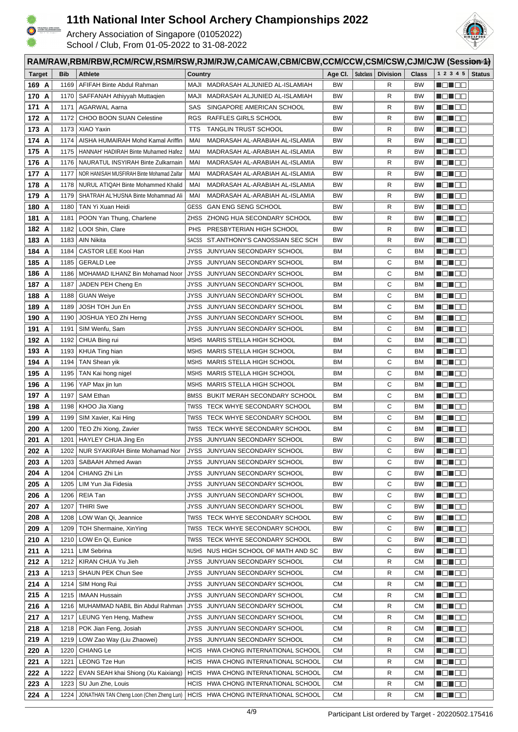



|                | RAM/RAW,RBM/RBW,RCM/RCW,RSM/RSW,RJM/RJW,CAM/CAW,CBM/CBW,CCM/CCW,CSM/CSW,CJM/CJW (Session/4) |                                           |                                                                    |           |          |                 |                        |                      |               |  |
|----------------|---------------------------------------------------------------------------------------------|-------------------------------------------|--------------------------------------------------------------------|-----------|----------|-----------------|------------------------|----------------------|---------------|--|
| <b>Target</b>  | <b>Bib</b>                                                                                  | <b>Athlete</b>                            | Country                                                            | Age Cl.   | Subclass | <b>Division</b> | <b>Class</b>           | 1 2 3 4 5            | <b>Status</b> |  |
| 169 A          | 1169                                                                                        | AFIFAH Binte Abdul Rahman                 | MAJI MADRASAH ALJUNIED AL-ISLAMIAH                                 | <b>BW</b> |          | R               | <b>BW</b>              | n Ein Ein            |               |  |
| 170 A          |                                                                                             | 1170   SAFFANAH Athiyyah Muttaqien        | MAJI<br>MADRASAH ALJUNIED AL-ISLAMIAH                              | <b>BW</b> |          | R               | BW                     |                      |               |  |
| 171 A          | 1171                                                                                        | <b>AGARWAL Aarna</b>                      | SAS<br>SINGAPORE AMERICAN SCHOOL                                   | <b>BW</b> |          | R               | <b>BW</b>              | <u> Hendrich Sta</u> |               |  |
| 172 A          | 1172                                                                                        | <b>CHOO BOON SUAN Celestine</b>           | <b>RGS</b><br>RAFFLES GIRLS SCHOOL                                 | <b>BW</b> |          | R               | BW                     | NG NG 19             |               |  |
| 173 A          | 1173                                                                                        | XIAO Yaxin                                | <b>TANGLIN TRUST SCHOOL</b><br>TTS                                 | <b>BW</b> |          | R               | BW                     | HD 88                |               |  |
| 174 A          | 1174                                                                                        | AISHA HUMAIRAH Mohd Kamal Ariffin         | MADRASAH AL-ARABIAH AL-ISLAMIA<br>MAI                              | <b>BW</b> |          | R               | <b>BW</b>              | <u> Hellee</u>       |               |  |
| 175 A          | 1175                                                                                        | HANNAH' HADIRAH Binte Muhamed Hafez       | MADRASAH AL-ARABIAH AL-ISLAMIA<br>MAI                              | <b>BW</b> |          | R               | <b>BW</b>              | N DI BE              |               |  |
| 176 A          | 1176                                                                                        | NAURATUL INSYIRAH Binte Zulkarnain        | MAI<br>MADRASAH AL-ARABIAH AL-ISLAMIA                              | <b>BW</b> |          | R               | BW                     | - 8 - 8 -            |               |  |
| 177 A          | 1177                                                                                        | NOR HANISAH MUSFIRAH Binte Mohamad Zaifar | MAI<br>MADRASAH AL-ARABIAH AL-ISLAMIA                              | <b>BW</b> |          | R               | <b>BW</b>              | MEN E E              |               |  |
| 178 A          | 1178                                                                                        | NURUL ATIQAH Binte Mohammed Khalid        | MAI<br>MADRASAH AL-ARABIAH AL-ISLAMIA                              | <b>BW</b> |          | R               | <b>BW</b>              | <u> de la c</u>      |               |  |
| 179 A          | 1179                                                                                        | SHATRAH AL'HUSNA Binte Mohammad Ali       | MAI<br>MADRASAH AL-ARABIAH AL-ISLAMIA                              | <b>BW</b> |          | R               | <b>BW</b>              | Martin Bill          |               |  |
| 180 A          | 1180                                                                                        | TAN Yi Xuan Heidi                         | GESS<br><b>GAN ENG SENG SCHOOL</b>                                 | <b>BW</b> |          | R               | BW                     |                      |               |  |
| 181 A          | 1181                                                                                        | POON Yan Thung, Charlene                  | ZHSS<br>ZHONG HUA SECONDARY SCHOOL                                 | <b>BW</b> |          | R               | BW                     | H 8 8 8 8            |               |  |
| 182 A          | 1182                                                                                        | LOOI Shin, Clare                          | <b>PHS</b><br>PRESBYTERIAN HIGH SCHOOL                             | <b>BW</b> |          | R               | <b>BW</b>              | N EN SE              |               |  |
| 183 A          | 1183                                                                                        | AIN Nikita                                | ST.ANTHONY'S CANOSSIAN SEC SCH<br>SACSS                            | <b>BW</b> |          | R               | BW                     | n din se             |               |  |
| 184 A          | 1184                                                                                        | CASTOR LEE Kooi Han                       | JYSS<br>JUNYUAN SECONDARY SCHOOL                                   | ВM        |          | С               | BM                     | U 80 80              |               |  |
| 185 A          | 1185                                                                                        | <b>GERALD Lee</b>                         | JYSS<br>JUNYUAN SECONDARY SCHOOL                                   | ВM        |          | С               | BM                     | MEN E E              |               |  |
| 186 A          | 1186                                                                                        | MOHAMAD ILHANZ Bin Mohamad Noor           | JYSS JUNYUAN SECONDARY SCHOOL                                      | ВM        |          | С               | BM                     | MEN E E              |               |  |
| 187 A          | 1187                                                                                        | JADEN PEH Cheng En                        | JYSS JUNYUAN SECONDARY SCHOOL                                      | BM        |          | С               | BM                     | MEN E E              |               |  |
| 188 A          | 1188                                                                                        | <b>GUAN Weiye</b>                         | JYSS   JUNYUAN SECONDARY SCHOOL                                    | ВM        |          | С               | BM                     | HEHEE                |               |  |
| 189 A          | 1189                                                                                        | JOSH TOH Jun En                           | JYSS JUNYUAN SECONDARY SCHOOL                                      | BM        |          | С               | BM                     | HE HE                |               |  |
| 190 A          | 1190                                                                                        | JOSHUA YEO Zhi Herng                      | JYSS JUNYUAN SECONDARY SCHOOL                                      | <b>BM</b> |          | С               | <b>BM</b>              | MON OO               |               |  |
| 191 A          | 1191                                                                                        | SIM Wenfu, Sam                            | JYSS JUNYUAN SECONDARY SCHOOL                                      | BM        |          | С               | <b>BM</b>              | MEN E E              |               |  |
| 192 A          | 1192                                                                                        | CHUA Bing rui                             | MARIS STELLA HIGH SCHOOL<br>MSHS                                   | ВM        |          | С               | BM                     | MENTE E              |               |  |
| 193 A          | 1193                                                                                        | KHUA Ting hian                            | MSHS MARIS STELLA HIGH SCHOOL                                      | BM        |          | С               | BM                     | MEN E E              |               |  |
| 194 A          | 1194                                                                                        | TAN Shean yik                             | MSHS MARIS STELLA HIGH SCHOOL                                      | <b>BM</b> |          | С               | <b>BM</b>              | MON OO               |               |  |
| 195 A          | 1195                                                                                        | TAN Kai hong nigel                        | MSHS MARIS STELLA HIGH SCHOOL                                      | BM        |          | С               | BM                     | U 80                 |               |  |
| 196 A          | 1196                                                                                        | YAP Max jin lun                           | MSHS MARIS STELLA HIGH SCHOOL                                      | BМ        |          | С               | BM                     | HE 192               |               |  |
| 197 A          | 1197                                                                                        | <b>SAM Ethan</b>                          | BMSS BUKIT MERAH SECONDARY SCHOOL                                  | BМ        |          | С               | BM                     | HE 192               |               |  |
| 198 A          | 1198                                                                                        | KHOO Jia Xiang                            | TWSS TECK WHYE SECONDARY SCHOOL                                    | <b>BM</b> |          | С               | <b>BM</b>              | N O H O O            |               |  |
| 199 A          | 1199                                                                                        | SIM Xavier, Kai Hing                      | TWSS TECK WHYE SECONDARY SCHOOL                                    | BM        |          | С               | <b>BM</b>              | <u> Helio So</u>     |               |  |
| 200 A          | 1200                                                                                        | TEO Zhi Xiong, Zavier                     | TECK WHYE SECONDARY SCHOOL<br>TWSS                                 | ВM        |          | С               | <b>BM</b>              | HE 195               |               |  |
| 201 A          |                                                                                             | 1201   HAYLEY CHUA Jing En                | JYSS JUNYUAN SECONDARY SCHOOL                                      | <b>BW</b> |          | С               | <b>BW</b>              | <u> Henri Bi</u>     |               |  |
| 202 A          | 1202                                                                                        | NUR SYAKIRAH Binte Mohamad Nor            | JYSS JUNYUAN SECONDARY SCHOOL                                      | BW        |          | С               | <b>BW</b>              | NO NO D              |               |  |
| 203 A          | 1203                                                                                        | SABAAH Ahmed Awan                         | JYSS JUNYUAN SECONDARY SCHOOL                                      | BW        |          | С               | BW                     |                      |               |  |
| 204 A          | 1204                                                                                        | CHIANG Zhi Lin                            | JYSS JUNYUAN SECONDARY SCHOOL                                      | BW        |          | С               | BW                     | N BING BI            |               |  |
| 205 A          | 1205                                                                                        | LIM Yun Jia Fidesia                       | JYSS JUNYUAN SECONDARY SCHOOL                                      | BW        |          | С               | <b>BW</b>              |                      |               |  |
| 206 A          | 1206<br>1207                                                                                | REIA Tan<br><b>THIRI Swe</b>              | JYSS JUNYUAN SECONDARY SCHOOL                                      | BW<br>BW  |          | С<br>С          | <b>BW</b><br><b>BW</b> | <b>NOTOS</b>         |               |  |
| 207 A          |                                                                                             | LOW Wan Qi, Jeannice                      | JYSS JUNYUAN SECONDARY SCHOOL                                      |           |          | С               | <b>BW</b>              | NO HEL               |               |  |
| 208 A<br>209 A | 1208<br>1209                                                                                | TOH Shermaine, XinYing                    | TWSS TECK WHYE SECONDARY SCHOOL<br>TWSS TECK WHYE SECONDARY SCHOOL | BW<br>BW  |          | С               | BW                     |                      |               |  |
| 210 A          | 1210                                                                                        | LOW En Qi, Eunice                         | TWSS TECK WHYE SECONDARY SCHOOL                                    | BW        |          | С               | <b>BW</b>              | NO HOO               |               |  |
| 211 A          | 1211                                                                                        | LIM Sebrina                               | NUSHS NUS HIGH SCHOOL OF MATH AND SC                               | BW        |          | С               | BW                     | 80 OC                |               |  |
| 212 A          | 1212                                                                                        | KIRAN CHUA Yu Jieh                        | JYSS JUNYUAN SECONDARY SCHOOL                                      | СM        |          | R               | СM                     | NG NGC               |               |  |
| 213 A          | 1213                                                                                        | SHAUN PEK Chun See                        | JYSS JUNYUAN SECONDARY SCHOOL                                      | СM        |          | R               | СM                     | MO MOR               |               |  |
| 214 A          | 1214                                                                                        | SIM Hong Rui                              | JYSS JUNYUAN SECONDARY SCHOOL                                      | СM        |          | R               | <b>CM</b>              | MEN E E              |               |  |
| 215 A          | 1215                                                                                        | <b>IMAAN Hussain</b>                      | JYSS JUNYUAN SECONDARY SCHOOL                                      | <b>CM</b> |          | R               | <b>CM</b>              | Manae                |               |  |
| 216 A          |                                                                                             | 1216   MUHAMMAD NABIL Bin Abdul Rahman    | JYSS JUNYUAN SECONDARY SCHOOL                                      | <b>CM</b> |          | R               | СM                     | MON 88               |               |  |
| 217 A          | 1217                                                                                        | LEUNG Yen Heng, Mathew                    | JYSS   JUNYUAN SECONDARY SCHOOL                                    | CМ        |          | R               | СM                     | Mana a Si            |               |  |
| 218 A          |                                                                                             | 1218   POK Jian Feng, Josiah              | JYSS JUNYUAN SECONDARY SCHOOL                                      | <b>CM</b> |          | R               | СM                     | MO HOL               |               |  |
| 219 A          |                                                                                             | 1219   LOW Zao Way (Liu Zhaowei)          | JYSS JUNYUAN SECONDARY SCHOOL                                      | <b>CM</b> |          | R               | CМ                     | Ma Male              |               |  |
| 220 A          | 1220                                                                                        | <b>CHIANG Le</b>                          | HCIS HWA CHONG INTERNATIONAL SCHOOL                                | <b>CM</b> |          | R               | CМ                     | MEN E E              |               |  |
| 221 A          | 1221                                                                                        | LEONG Tze Hun                             | HCIS HWA CHONG INTERNATIONAL SCHOOL                                | СM        |          | R               | <b>CM</b>              | MO MOO               |               |  |
| 222 A          | 1222                                                                                        | EVAN SEAH khai Shiong (Xu Kaixiang)       | HCIS HWA CHONG INTERNATIONAL SCHOOL                                | СM        |          | R               | <b>CM</b>              | N O N O O            |               |  |
| 223 A          | 1223                                                                                        | SU Jun Zhe, Louis                         | HCIS HWA CHONG INTERNATIONAL SCHOOL                                | СM        |          | R               | <b>CM</b>              | ME NO SI             |               |  |
| 224 A          | 1224                                                                                        | JONATHAN TAN Cheng Loon (Chen Zheng Lun)  | HCIS HWA CHONG INTERNATIONAL SCHOOL                                | СM        |          | R               | СM                     | MON 80               |               |  |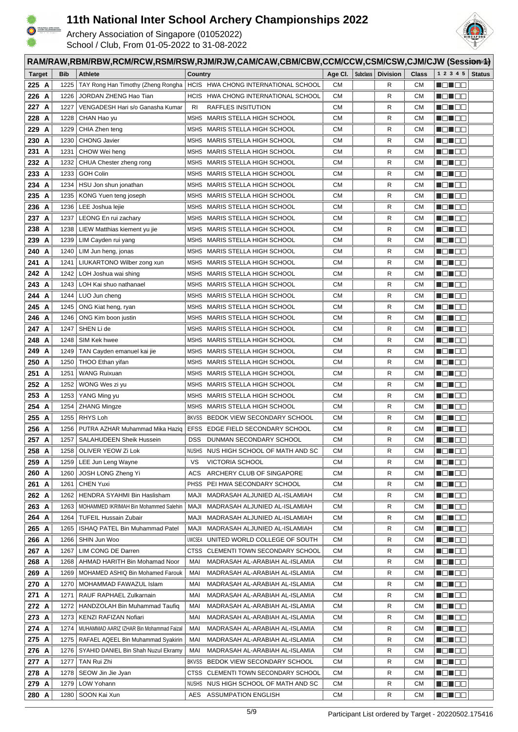



|                | RAM/RAW,RBM/RBW,RCM/RCW,RSM/RSW,RJM/RJW,CAM/CAW,CBM/CBW,CCM/CCW,CSM/CSW,CJM/CJW (Sessionid) |              |                                          |                                                              |           |          |                 |                        |                              |               |
|----------------|---------------------------------------------------------------------------------------------|--------------|------------------------------------------|--------------------------------------------------------------|-----------|----------|-----------------|------------------------|------------------------------|---------------|
| <b>Target</b>  |                                                                                             | <b>Bib</b>   | <b>Athlete</b>                           | Country                                                      | Age CI.   | Subclass | <b>Division</b> | <b>Class</b>           | 1 2 3 4 5                    | <b>Status</b> |
| 225 A          |                                                                                             | 1225         | TAY Rong Han Timothy (Zheng Rongha       | HCIS HWA CHONG INTERNATIONAL SCHOOL                          | СM        |          | R               | СM                     | N DI BE                      |               |
| 226 A          |                                                                                             | 1226         | JORDAN ZHENG Hao Tian                    | HCIS HWA CHONG INTERNATIONAL SCHOOL                          | CМ        |          | R               | CМ                     | <u> Hans B</u>               |               |
| 227 A          |                                                                                             | 1227         | VENGADESH Hari s/o Ganasha Kumar         | RAFFLES INSITUTION<br>RI                                     | CМ        |          | R               | <b>CM</b>              | N DI BE                      |               |
| 228 A          |                                                                                             | 1228         | CHAN Hao yu                              | <b>MSHS</b><br>MARIS STELLA HIGH SCHOOL                      | СM        |          | R               | CМ                     | <u> Henri Bi</u>             |               |
| 229 A          |                                                                                             | 1229         | CHIA Zhen teng                           | MSHS MARIS STELLA HIGH SCHOOL                                | CМ        |          | R               | CМ                     |                              |               |
| 230 A          |                                                                                             | 1230         | <b>CHONG Javier</b>                      | MSHS MARIS STELLA HIGH SCHOOL                                | СM        |          | R               | <b>CM</b>              | <u> Hellie e</u>             |               |
| 231 A          |                                                                                             | 1231         | CHOW Wei heng                            | MSHS MARIS STELLA HIGH SCHOOL                                | СM        |          | R               | <b>CM</b>              | <u> Hender</u>               |               |
| 232 A          |                                                                                             | 1232         | CHUA Chester zheng rong                  | MSHS MARIS STELLA HIGH SCHOOL                                | СM        |          | R               | CМ                     | HE EE                        |               |
| 233 A          |                                                                                             | 1233         | <b>GOH Colin</b>                         | MSHS MARIS STELLA HIGH SCHOOL                                | CМ        |          | R               | CМ                     |                              |               |
| 234 A          |                                                                                             | 1234         | HSU Jon shun jonathan                    | MSHS MARIS STELLA HIGH SCHOOL                                | CМ        |          | R               | <b>CM</b>              | <u> de la c</u>              |               |
| 235 A          |                                                                                             | 1235         | KONG Yuen teng joseph                    | MSHS MARIS STELLA HIGH SCHOOL                                | <b>CM</b> |          | R               | <b>CM</b>              | MON OO                       |               |
| 236 A          |                                                                                             | 1236         | LEE Joshua lejie                         | MSHS MARIS STELLA HIGH SCHOOL                                | CМ        |          | R               | CМ                     |                              |               |
| 237 A          |                                                                                             | 1237         | LEONG En rui zachary                     | MSHS MARIS STELLA HIGH SCHOOL                                | СM        |          | R               | <b>CM</b>              | MEN DE                       |               |
| 238 A          |                                                                                             | 1238         | LIEW Matthias kiement yu jie             | MSHS MARIS STELLA HIGH SCHOOL                                | СM        |          | R               | <b>CM</b>              | Maria 1919                   |               |
| 239 A          |                                                                                             | 1239         | LIM Cayden rui yang                      | MSHS MARIS STELLA HIGH SCHOOL                                | СM        |          | R               | <b>CM</b>              | Ma Maa                       |               |
| 240 A          |                                                                                             | 1240         | LIM Jun heng, jonas                      | MSHS MARIS STELLA HIGH SCHOOL                                | CМ        |          | R               | CМ                     | MEN E E                      |               |
| 241 A          |                                                                                             | 1241         | LIUKARTONO Wilber zong xun               | MSHS MARIS STELLA HIGH SCHOOL                                | CМ        |          | R               | CМ                     | MEN E E                      |               |
| 242 A          |                                                                                             | 1242         | LOH Joshua wai shing                     | MSHS MARIS STELLA HIGH SCHOOL                                | CМ        |          | R               | CМ                     | MEN E E                      |               |
| 243 A          |                                                                                             | 1243         | LOH Kai shuo nathanael                   | MSHS MARIS STELLA HIGH SCHOOL                                | CМ        |          | R               | CМ                     | Mal do                       |               |
| 244 A          |                                                                                             | 1244         | LUO Jun cheng                            | MSHS MARIS STELLA HIGH SCHOOL                                | CМ        |          | R               | CМ                     | HE EE                        |               |
| 245 A          |                                                                                             | 1245         | ONG Kiat heng, ryan                      | MSHS MARIS STELLA HIGH SCHOOL                                | CМ        |          | R               | CМ                     | HE HE                        |               |
| 246 A          |                                                                                             | 1246         | ONG Kim boon justin                      | MSHS MARIS STELLA HIGH SCHOOL                                | СM        |          | R               | <b>CM</b>              | MON 80                       |               |
| 247 A          |                                                                                             | 1247         | SHEN Li de                               | MSHS MARIS STELLA HIGH SCHOOL                                | СM        |          | R               | <b>CM</b>              | MON OO                       |               |
| 248 A          |                                                                                             | 1248         | SIM Kek hwee                             | MARIS STELLA HIGH SCHOOL<br>MSHS                             | СM        |          | R               | <b>CM</b>              | 1 8 8 9                      |               |
| 249            | A                                                                                           | 1249         | TAN Cayden emanuel kai jie               | MSHS MARIS STELLA HIGH SCHOOL                                | CМ        |          | R               | CМ                     | MON 80                       |               |
| 250 A          |                                                                                             | 1250         | THOO Ethan yifan                         | MSHS MARIS STELLA HIGH SCHOOL                                | СM        |          | R               | <b>CM</b>              | MON OO                       |               |
| 251 A          |                                                                                             | 1251         | <b>WANG Ruixuan</b>                      | MSHS MARIS STELLA HIGH SCHOOL                                | CМ        |          | R               | <b>CM</b>              | NO HOO                       |               |
| 252 A          |                                                                                             | 1252         | WONG Wes zi yu                           | MSHS MARIS STELLA HIGH SCHOOL                                | СM        |          | R               | CМ                     | HE 182                       |               |
| 253 A          |                                                                                             | 1253         | YANG Ming yu                             | MSHS MARIS STELLA HIGH SCHOOL                                | СM        |          | R               | CМ                     | HO 100                       |               |
| 254 A<br>255 A |                                                                                             | 1254<br>1255 | <b>ZHANG Mingze</b><br>RHYS Loh          | MSHS MARIS STELLA HIGH SCHOOL<br>BEDOK VIEW SECONDARY SCHOOL | СM<br>СM  |          | R<br>R          | <b>CM</b><br><b>CM</b> | MEN E E                      |               |
| 256 A          |                                                                                             | 1256         | PUTRA AZHAR Muhammad Mika Haziq          | <b>BKVSS</b><br>EFSS<br>EDGE FIELD SECONDARY SCHOOL          | СM        |          | R               | <b>CM</b>              | <u> Hall a Bi</u><br>1 8 8 9 |               |
| 257 A          |                                                                                             | 1257         | SALAHUDEEN Sheik Hussein                 | DSS DUNMAN SECONDARY SCHOOL                                  | CМ        |          | R               | <b>CM</b>              | MEN EE                       |               |
| 258 A          |                                                                                             | 1258         | OLIVER YEOW Zi Lok                       | NUSHS NUS HIGH SCHOOL OF MATH AND SC                         | CМ        |          | R               | СM                     | NO NOO                       |               |
| 259 A          |                                                                                             | 1259         | LEE Jun Leng Wayne                       | <b>VICTORIA SCHOOL</b><br>vs                                 | CМ        |          | R               | CМ                     |                              |               |
| 260 A          |                                                                                             | 1260         | JOSH LONG Zheng Yi                       | ARCHERY CLUB OF SINGAPORE<br>ACS                             | СM        |          | R               | CМ                     | ng ng m                      |               |
| 261 A          |                                                                                             | 1261         | <b>CHEN Yuxi</b>                         | PEI HWA SECONDARY SCHOOL<br><b>PHSS</b>                      | CМ        |          | R               | CМ                     | <u> Neilleis</u>             |               |
| 262 A          |                                                                                             | 1262         | HENDRA SYAHMI Bin Haslisham              | MADRASAH ALJUNIED AL-ISLAMIAH<br>MAJI                        | СM        |          | R               | <b>CM</b>              | NO HOO                       |               |
| 263 A          |                                                                                             | 1263         | MOHAMMED IKRIMAH Bin Mohammed Salehin    | MADRASAH ALJUNIED AL-ISLAMIAH<br>MAJI                        | СM        |          | R               | <b>CM</b>              | <u> Nasara</u>               |               |
| 264 A          |                                                                                             | 1264         | <b>TUFEIL Hussain Zubair</b>             | MAJI<br>MADRASAH ALJUNIED AL-ISLAMIAH                        | СM        |          | R               | CМ                     | <u> Heilich</u>              |               |
| 265 A          |                                                                                             | 1265         | ISHAQ PATEL Bin Muhammad Patel           | <b>MAJI</b><br>MADRASAH ALJUNIED AL-ISLAMIAH                 | CМ        |          | R               | CМ                     |                              |               |
| 266 A          |                                                                                             | 1266         | SHIN Jun Woo                             | UNITED WORLD COLLEGE OF SOUTH<br>UWCSEA                      | CМ        |          | R               | CМ                     | MO HOO                       |               |
| 267 A          |                                                                                             | 1267         | LIM CONG DE Darren                       | CLEMENTI TOWN SECONDARY SCHOOL<br>CTSS                       | CМ        |          | R               | CМ                     |                              |               |
| 268 A          |                                                                                             | 1268         | AHMAD HARITH Bin Mohamad Noor            | MAI<br>MADRASAH AL-ARABIAH AL-ISLAMIA                        | СM        |          | R               | CМ                     |                              |               |
| 269 A          |                                                                                             | 1269         | MOHAMED ASHIQ Bin Mohamed Farouk         | MAI<br>MADRASAH AL-ARABIAH AL-ISLAMIA                        | CМ        |          | R               | CМ                     | Mana a Ba                    |               |
| 270 A          |                                                                                             | 1270         | MOHAMMAD FAWAZUL Islam                   | MADRASAH AL-ARABIAH AL-ISLAMIA<br>MAI                        | СM        |          | R               | <b>CM</b>              | MON 80                       |               |
| 271 A          |                                                                                             | 1271         | RAUF RAPHAEL Zulkarnain                  | MADRASAH AL-ARABIAH AL-ISLAMIA<br>MAI                        | СM        |          | R               | <b>CM</b>              | MON 88                       |               |
| 272 A          |                                                                                             | 1272         | HANDZOLAH Bin Muhammad Taufiq            | MADRASAH AL-ARABIAH AL-ISLAMIA<br>MAI                        | СM        |          | R               | СM                     | MON 88                       |               |
| 273 A          |                                                                                             | 1273         | KENZI RAFIZAN Nofiari                    | MAI<br>MADRASAH AL-ARABIAH AL-ISLAMIA                        | CМ        |          | R               | CМ                     | MO MOO                       |               |
| 274 A          |                                                                                             | 1274         | MUHAMMAD AARIZ IZHAR Bin Mohammad Faizal | MAI<br>MADRASAH AL-ARABIAH AL-ISLAMIA                        | CМ        |          | R               | СM                     | MON 88                       |               |
| 275 A          |                                                                                             | 1275         | RAFAEL AQEEL Bin Muhammad Syakirin       | MAI<br>MADRASAH AL-ARABIAH AL-ISLAMIA                        | CМ        |          | R               | CМ                     | MO MOO                       |               |
| 276 A          |                                                                                             | 1276         | SYAHID DANIEL Bin Shah Nuzul Ekramy      | MAI<br>MADRASAH AL-ARABIAH AL-ISLAMIA                        | CМ        |          | R               | CМ                     | Ma Mac                       |               |
| 277 A          |                                                                                             | 1277         | TAN Rui Zhi                              | BKVSS BEDOK VIEW SECONDARY SCHOOL                            | CМ        |          | R               | CМ                     | Ma Mac                       |               |
| 278 A          |                                                                                             | 1278         | SEOW Jin Jie Jyan                        | CLEMENTI TOWN SECONDARY SCHOOL<br><b>CTSS</b>                | СM        |          | R               | <b>CM</b>              | NO HOO                       |               |
| 279 A          |                                                                                             | 1279         | LOW Yohann                               | NUS HIGH SCHOOL OF MATH AND SC<br>NUSHS                      | СM        |          | R               | СM                     |                              |               |
| 280 A          |                                                                                             | 1280         | SOON Kai Xun                             | <b>ASSUMPATION ENGLISH</b><br>AES                            | СM        |          | R               | CМ                     | NG NGC                       |               |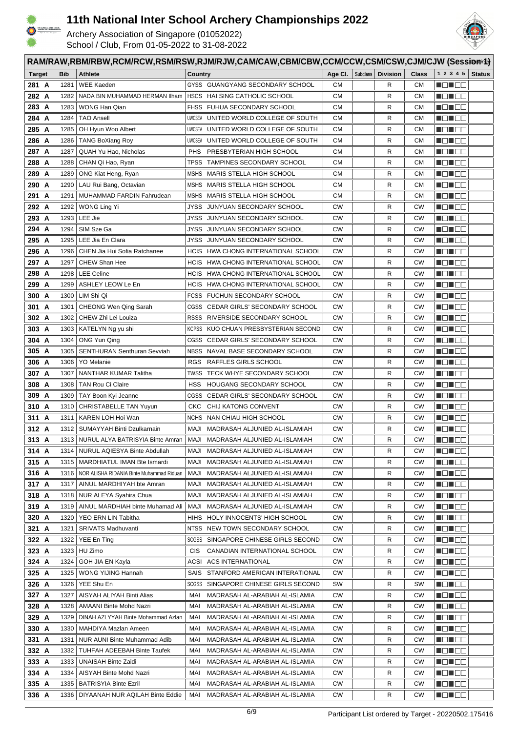



|               | RAM/RAW,RBM/RBW,RCM/RCW,RSM/RSW,RJM/RJW,CAM/CAW,CBM/CBW,CCM/CCW,CSM/CSW,CJM/CJW (Session/14) |            |                                          |             |                                      |           |  |                                           |              |                      |               |
|---------------|----------------------------------------------------------------------------------------------|------------|------------------------------------------|-------------|--------------------------------------|-----------|--|-------------------------------------------|--------------|----------------------|---------------|
| <b>Target</b> |                                                                                              | <b>Bib</b> | <b>Athlete</b>                           | Country     |                                      |           |  | Age Cl. $\vert$ Subclass $\vert$ Division | <b>Class</b> | 1 2 3 4 5            | <b>Status</b> |
| 281 A         |                                                                                              | 1281       | <b>WEE Kaeden</b>                        |             | GYSS GUANGYANG SECONDARY SCHOOL      | <b>CM</b> |  | R                                         | <b>CM</b>    | HE 192               |               |
| 282 A         |                                                                                              | 1282       | NADA BIN MUHAMMAD HERMAN IIham           |             | HSCS HAI SING CATHOLIC SCHOOL        | <b>CM</b> |  | R                                         | <b>CM</b>    | HEN EE               |               |
| 283 A         |                                                                                              | 1283       | WONG Han Qian                            |             | FHSS FUHUA SECONDARY SCHOOL          | СM        |  | R                                         | CМ           | <u> Hendrich Sta</u> |               |
| 284 A         |                                                                                              | 1284       | <b>TAO Ansell</b>                        |             | UWCSEA UNITED WORLD COLLEGE OF SOUTH | CМ        |  | R                                         | CМ           | <u> Hendrich Sta</u> |               |
| 285 A         |                                                                                              | 1285       | OH Hyun Woo Albert                       |             | UWCSEA UNITED WORLD COLLEGE OF SOUTH | СM        |  | R                                         | CМ           | MUNICI U             |               |
| 286 A         |                                                                                              | 1286       | <b>TANG BoXiang Roy</b>                  |             | UWCSEA UNITED WORLD COLLEGE OF SOUTH | <b>CM</b> |  | R                                         | <b>CM</b>    | MO HOO               |               |
| 287 A         |                                                                                              | 1287       | QUAH Yu Hao, Nicholas                    | <b>PHS</b>  | PRESBYTERIAN HIGH SCHOOL             | <b>CM</b> |  | R                                         | <b>CM</b>    | ______               |               |
| 288           | A                                                                                            | 1288       | CHAN Qi Hao, Ryan                        | <b>TPSS</b> | TAMPINES SECONDARY SCHOOL            | <b>CM</b> |  | R                                         | <b>CM</b>    | _______              |               |
| 289           | A                                                                                            | 1289       | ONG Kiat Heng, Ryan                      | MSHS        | MARIS STELLA HIGH SCHOOL             | СM        |  | R                                         | CМ           | - 8 - 8 -            |               |
| 290 A         |                                                                                              | 1290       | LAU Rui Bang, Octavian                   | MSHS        | MARIS STELLA HIGH SCHOOL             | <b>CM</b> |  | R                                         | CМ           | N 80 E 8             |               |
| 291 A         |                                                                                              | 1291       | MUHAMMAD FARDIN Fahrudean                |             | MSHS MARIS STELLA HIGH SCHOOL        | <b>CM</b> |  | R                                         | CМ           | - 8 - 8 -            |               |
| 292 A         |                                                                                              | 1292       | WONG Ling Yi                             |             | JYSS JUNYUAN SECONDARY SCHOOL        | <b>CW</b> |  | R                                         | <b>CW</b>    | Martin Mar           |               |
| 293 A         |                                                                                              |            | 1293   LEE Jie                           |             | JYSS JUNYUAN SECONDARY SCHOOL        | <b>CW</b> |  | R                                         | CW           |                      |               |
| 294 A         |                                                                                              | 1294       | SIM Sze Ga                               | JYSS        | JUNYUAN SECONDARY SCHOOL             | <b>CW</b> |  | R                                         | СW           | MEN 1919             |               |
| 295 A         |                                                                                              | 1295       | LEE Jia En Clara                         |             | JYSS JUNYUAN SECONDARY SCHOOL        | <b>CW</b> |  | R                                         | CW           | M 8 8 8 8            |               |
| 296 A         |                                                                                              | 1296       | CHEN Jia Hui Sofia Ratchanee             |             | HCIS HWA CHONG INTERNATIONAL SCHOOL  | <b>CW</b> |  | R                                         | <b>CW</b>    | n Einhard            |               |
| 297 A         |                                                                                              | 1297       | CHEW Shan Hee                            |             | HCIS HWA CHONG INTERNATIONAL SCHOOL  | <b>CW</b> |  | R                                         | CW           | MEN E E              |               |
| 298 A         |                                                                                              | 1298       | <b>LEE Celine</b>                        | <b>HCIS</b> | HWA CHONG INTERNATIONAL SCHOOL       | <b>CW</b> |  | R                                         | СW           | Martin Silver        |               |
| 299 A         |                                                                                              | 1299       | <b>ASHLEY LEOW Le En</b>                 |             | HCIS HWA CHONG INTERNATIONAL SCHOOL  | <b>CW</b> |  | R                                         | СW           | MEN E E              |               |
| 300 A         |                                                                                              | 1300       | LIM Shi Qi                               |             | FCSS FUCHUN SECONDARY SCHOOL         | <b>CW</b> |  | R                                         | CW           | MOL 88               |               |
| 301 A         |                                                                                              | 1301       | CHEONG Wen Qing Sarah                    |             | CGSS CEDAR GIRLS' SECONDARY SCHOOL   | <b>CW</b> |  | R                                         | CW           | H 8 8 8 9            |               |
| 302 A         |                                                                                              | 1302       | CHEW Zhi Lei Louiza                      |             | RSSS RIVERSIDE SECONDARY SCHOOL      | <b>CW</b> |  | R                                         | СW           | H 8 8 8 9            |               |
| 303 A         |                                                                                              | 1303       | KATELYN Ng yu shi                        |             | KCPSS KUO CHUAN PRESBYSTERIAN SECOND | <b>CW</b> |  | R                                         | CW           | MON OO               |               |
| 304 A         |                                                                                              | 1304       | ONG Yun Qing                             | CGSS        | CEDAR GIRLS' SECONDARY SCHOOL        | <b>CW</b> |  | R                                         | <b>CW</b>    | MEN E E              |               |
| 305 A         |                                                                                              | 1305       | SENTHURAN Senthuran Sevviah              | NBSS        | NAVAL BASE SECONDARY SCHOOL          | <b>CW</b> |  | R                                         | СW           | MEN E E              |               |
| 306           | A                                                                                            | 1306       | <b>YO Melanie</b>                        | RGS.        | RAFFLES GIRLS SCHOOL                 | <b>CW</b> |  | R                                         | СW           | HE 182               |               |
| 307 A         |                                                                                              | 1307       | NANTHAR KUMAR Talitha                    | TWSS        | TECK WHYE SECONDARY SCHOOL           | <b>CW</b> |  | R                                         | <b>CW</b>    | MON OO               |               |
| 308 A         |                                                                                              | 1308       | <b>TAN Rou Ci Claire</b>                 | <b>HSS</b>  | HOUGANG SECONDARY SCHOOL             | <b>CW</b> |  | R                                         | <b>CW</b>    | Maria 1919           |               |
| 309 A         |                                                                                              | 1309       | TAY Boon Kyi Jeanne                      | CGSS        | CEDAR GIRLS' SECONDARY SCHOOL        | <b>CW</b> |  | R                                         | CW           | HE 192               |               |
| 310 A         |                                                                                              | 1310       | CHRISTABELLE TAN Yuyun                   | CKC         | CHIJ KATONG CONVENT                  | <b>CW</b> |  | R                                         | СW           | MA NA H              |               |
| 311 A         |                                                                                              | 1311       | KAREN LOH Hoi Wan                        |             | NCHS NAN CHIAU HIGH SCHOOL           | <b>CW</b> |  | R                                         | <b>CW</b>    | N EN EO              |               |
| 312 A         |                                                                                              | 1312       | SUMAYYAH Binti Dzulkarnain               | MAJI        | MADRASAH ALJUNIED AL-ISLAMIAH        | <b>CW</b> |  | R                                         | <b>CW</b>    | Maria 1919           |               |
| 313 A         |                                                                                              |            | 1313   NURUL ALYA BATRISYIA Binte Amran  |             | MAJI MADRASAH ALJUNIED AL-ISLAMIAH   | <b>CW</b> |  | R                                         | <b>CW</b>    | N ON OO              |               |
| 314 A         |                                                                                              | 1314       | NURUL AQIESYA Binte Abdullah             |             | MAJI MADRASAH ALJUNIED AL-ISLAMIAH   | <b>CW</b> |  | R                                         | CW           | n En Se              |               |
| 315 A         |                                                                                              | 1315       | MARDHIATUL IMAN Bte Ismardi              | MAJI        | MADRASAH ALJUNIED AL-ISLAMIAH        | <b>CW</b> |  | R                                         | СW           | <u> Nijeri se</u>    |               |
| 316 A         |                                                                                              | 1316       | NOR ALISHA RIDANIA Binte Muhammad Riduan | MAJI        | MADRASAH ALJUNIED AL-ISLAMIAH        | <b>CW</b> |  | R                                         | СW           | N O N O O            |               |
| 317 A         |                                                                                              | 1317       | AINUL MARDHIYAH bte Amran                | MAJI        | MADRASAH ALJUNIED AL-ISLAMIAH        | CW        |  | R                                         | СW           | de de                |               |
| 318 A         |                                                                                              |            | 1318   NUR ALEYA Syahira Chua            | MAJI        | MADRASAH ALJUNIED AL-ISLAMIAH        | CW        |  | R                                         | СW           | Mahal di S           |               |
| 319 A         |                                                                                              | 1319       | AINUL MARDHIAH binte Muhamad Ali         | MAJI        | MADRASAH ALJUNIED AL-ISLAMIAH        | <b>CW</b> |  | R                                         | СW           | N O N O O            |               |
| 320 A         |                                                                                              | 1320       | YEO ERN LIN Tabitha                      |             | HIHS HOLY INNOCENTS' HIGH SCHOOL     | <b>CW</b> |  | R                                         | CW           | MEN EE               |               |
| 321 A         |                                                                                              | 1321       | <b>SRIVATS Madhuvanti</b>                |             | NTSS NEW TOWN SECONDARY SCHOOL       | CW        |  | R                                         | СW           | N DI BE              |               |
| 322 A         |                                                                                              | 1322       | YEE En Ting                              |             | SCGSS SINGAPORE CHINESE GIRLS SECOND | CW        |  | R                                         | СW           | <u> Helena k</u>     |               |
| 323 A         |                                                                                              | 1323       | HU Zimo                                  | CIS         | CANADIAN INTERNATIONAL SCHOOL        | CW        |  | R                                         | СW           | Mahal da             |               |
| 324 A         |                                                                                              | 1324       | GOH JIA EN Kayla                         | ACSI        | <b>ACS INTERNATIONAL</b>             | CW        |  | R                                         | СW           |                      |               |
| 325 A         |                                                                                              | 1325       | WONG YIJING Hannah                       | SAIS        | STANFORD AMERICAN INTERATIONAL       | CW        |  | R                                         | СW           | Mana a Ma            |               |
| 326 A         |                                                                                              | 1326       | YEE Shu En                               |             | SCGSS SINGAPORE CHINESE GIRLS SECOND | SW        |  | R                                         | SW           | <u> Hele a B</u>     |               |
| 327 A         |                                                                                              | 1327       | AISYAH ALIYAH Binti Alias                | MAI         | MADRASAH AL-ARABIAH AL-ISLAMIA       | <b>CW</b> |  | R                                         | СW           | MO HOL               |               |
| 328 A         |                                                                                              | 1328       | AMAANI Binte Mohd Nazri                  | MAI         | MADRASAH AL-ARABIAH AL-ISLAMIA       | <b>CW</b> |  | R                                         | CW           | Mal do               |               |
| 329 A         |                                                                                              | 1329       | DINAH AZLYYAH Binte Mohammad Azlan       | MAI         | MADRASAH AL-ARABIAH AL-ISLAMIA       | <b>CW</b> |  | R                                         | СW           | MON 80               |               |
| 330 A         |                                                                                              | 1330       | MAHDIYA Mazlan Ameen                     | MAI         | MADRASAH AL-ARABIAH AL-ISLAMIA       | CW        |  | R                                         | СW           | <u> Hele Se</u>      |               |
| 331 A         |                                                                                              | 1331       | NUR AUNI Binte Muhammad Adib             | MAI         | MADRASAH AL-ARABIAH AL-ISLAMIA       | <b>CW</b> |  | R                                         | СW           | Man ao               |               |
| 332 A         |                                                                                              | 1332       | <b>TUHFAH ADEEBAH Binte Taufek</b>       | MAI         | MADRASAH AL-ARABIAH AL-ISLAMIA       | <b>CW</b> |  | R                                         | СW           | <u> Liberal Ser</u>  |               |
| 333 A         |                                                                                              | 1333       | <b>UNAISAH Binte Zaidi</b>               | MAI         | MADRASAH AL-ARABIAH AL-ISLAMIA       | CW        |  | R                                         | СW           | Man de               |               |
| 334 A         |                                                                                              | 1334       | AISYAH Binte Mohd Nazri                  | MAI         | MADRASAH AL-ARABIAH AL-ISLAMIA       | CW        |  | R                                         | CW           | MON OO               |               |
| 335 A         |                                                                                              | 1335       | <b>BATRISYIA Binte Ezril</b>             | MAI         | MADRASAH AL-ARABIAH AL-ISLAMIA       | <b>CW</b> |  | R                                         | CW           | MON OO               |               |
| 336 A         |                                                                                              |            | 1336   DIYAANAH NUR AQILAH Binte Eddie   | MAI         | MADRASAH AL-ARABIAH AL-ISLAMIA       | <b>CW</b> |  | R                                         | CW           | <u> Helio Bi</u>     |               |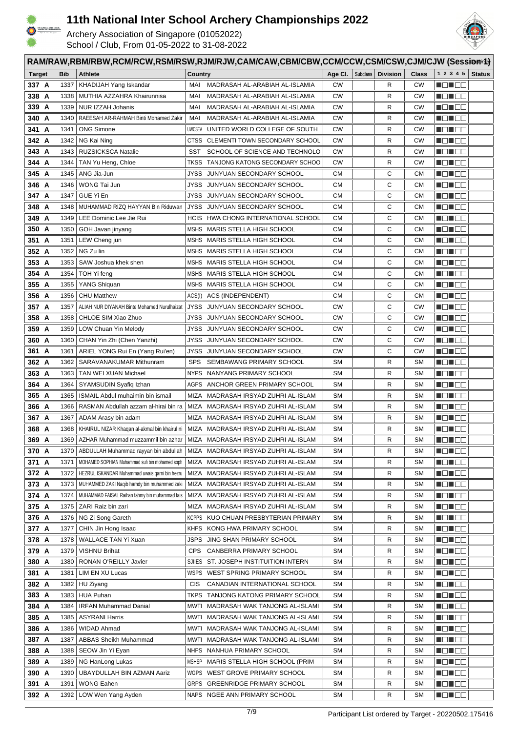

HTIB-SCHOOL<br>MOKSEMS 3222

# **11th National Inter School Archery Championships 2022**



|                | RAM/RAW,RBM/RBW,RCM/RCW,RSM/RSW,RJM/RJW,CAM/CAW,CBM/CBW,CCM/CCW,CSM/CSW,CJM/CJW (Sessionid) |              |                                                                                                  |               |                                                                            |           |          |                 |                 |                                                                                                                  |               |
|----------------|---------------------------------------------------------------------------------------------|--------------|--------------------------------------------------------------------------------------------------|---------------|----------------------------------------------------------------------------|-----------|----------|-----------------|-----------------|------------------------------------------------------------------------------------------------------------------|---------------|
| <b>Target</b>  |                                                                                             | <b>Bib</b>   | <b>Athlete</b>                                                                                   | Country       |                                                                            | Age CI.   | Subclass | <b>Division</b> | <b>Class</b>    | 1 2 3 4 5                                                                                                        | <b>Status</b> |
| 337 A          |                                                                                             | 1337         | KHADIJAH Yang Iskandar                                                                           | MAI           | MADRASAH AL-ARABIAH AL-ISLAMIA                                             | <b>CW</b> |          | R               | <b>CW</b>       | MO UOC                                                                                                           |               |
| 338 A          |                                                                                             | 1338         | MUTHIA AZZAHRA Khairunnisa                                                                       | MAI           | MADRASAH AL-ARABIAH AL-ISLAMIA                                             | CW        |          | R               | CW              | <u> Hans B</u>                                                                                                   |               |
| 339 A          |                                                                                             | 1339         | NUR IZZAH Johanis                                                                                | MAI           | MADRASAH AL-ARABIAH AL-ISLAMIA                                             | <b>CW</b> |          | R               | <b>CW</b>       | e de la co                                                                                                       |               |
| 340 A          |                                                                                             | 1340         | RAEESAH AR-RAHMAH Binti Mohamed Zakir                                                            | MAI           | MADRASAH AL-ARABIAH AL-ISLAMIA                                             | <b>CW</b> |          | R               | CW              | _______                                                                                                          |               |
| 341 A          |                                                                                             | 1341         | <b>ONG Simone</b>                                                                                | <b>UWCSEA</b> | UNITED WORLD COLLEGE OF SOUTH                                              | <b>CW</b> |          | R               | <b>CW</b>       |                                                                                                                  |               |
| 342 A          |                                                                                             | 1342         | NG Kai Ning                                                                                      |               | CTSS CLEMENTI TOWN SECONDARY SCHOOL                                        | <b>CW</b> |          | R               | <b>CW</b>       |                                                                                                                  |               |
| 343 A          |                                                                                             | 1343         | <b>RUZSICKSCA Natalie</b>                                                                        | SST           | SCHOOL OF SCIENCE AND TECHNOLO                                             | <b>CW</b> |          | R               | <b>CW</b>       | N DI BE                                                                                                          |               |
| 344 A          |                                                                                             | 1344         | TAN Yu Heng, Chloe                                                                               | TKSS          | TANJONG KATONG SECONDARY SCHOO                                             | <b>CW</b> |          | R               | <b>CW</b>       | n din se                                                                                                         |               |
| 345 A          |                                                                                             | 1345         | ANG Jia-Jun                                                                                      | JYSS          | JUNYUAN SECONDARY SCHOOL                                                   | CМ        |          | С               | <b>CM</b>       | MENT E E                                                                                                         |               |
| 346 A          |                                                                                             | 1346         | WONG Tai Jun                                                                                     |               | JYSS JUNYUAN SECONDARY SCHOOL                                              | CМ        |          | С               | <b>CM</b>       | <u> de la c</u>                                                                                                  |               |
| 347 A          |                                                                                             | 1347         | GUE Yi En                                                                                        | JYSS          | JUNYUAN SECONDARY SCHOOL                                                   | <b>CM</b> |          | С               | <b>CM</b>       | MON OO                                                                                                           |               |
| 348 A          |                                                                                             | 1348         | MUHAMMAD RIZQ HAYYAN Bin Riduwan                                                                 | JYSS          | JUNYUAN SECONDARY SCHOOL                                                   | СM        |          | С               | CМ              |                                                                                                                  |               |
| 349 A          |                                                                                             | 1349         | LEE Dominic Lee Jie Rui                                                                          |               | HCIS HWA CHONG INTERNATIONAL SCHOOL                                        | CМ        |          | С               | <b>CM</b>       | 80 D D D                                                                                                         |               |
| 350 A          |                                                                                             | 1350         | GOH Javan jinyang                                                                                |               | MSHS MARIS STELLA HIGH SCHOOL                                              | СM        |          | С               | <b>CM</b>       | MEN E E                                                                                                          |               |
| 351 A          |                                                                                             | 1351         | LEW Cheng jun                                                                                    |               | MSHS MARIS STELLA HIGH SCHOOL                                              | СM        |          | С               | <b>CM</b>       | MEN DE                                                                                                           |               |
| 352 A          |                                                                                             | 1352         | NG Zu lin                                                                                        |               | MSHS MARIS STELLA HIGH SCHOOL                                              | СM        |          | С               | CМ              | MEN E E                                                                                                          |               |
| 353 A          |                                                                                             | 1353         | SAW Joshua khek shen                                                                             |               | MSHS MARIS STELLA HIGH SCHOOL                                              | CМ        |          | С               | CМ              | MO MO M                                                                                                          |               |
| 354 A          |                                                                                             | 1354         | TOH Yi feng                                                                                      |               | MSHS MARIS STELLA HIGH SCHOOL                                              | CМ        |          | С               | CМ              | MEN E E                                                                                                          |               |
| 355 A          |                                                                                             | 1355         | YANG Shiquan                                                                                     |               | MSHS MARIS STELLA HIGH SCHOOL                                              | CМ        |          | С               | CМ              | Malia di                                                                                                         |               |
| 356 A          |                                                                                             | 1356         | <b>CHU Matthew</b>                                                                               | ACS(I)        | ACS (INDEPENDENT)                                                          | <b>CM</b> |          | С               | CМ              | - 10 - 10 <b>-</b> 10 -                                                                                          |               |
| 357 A          |                                                                                             | 1357         | ALIAH NUR DIYANAH Binte Mohamed Nurulhaizat                                                      | <b>JYSS</b>   | JUNYUAN SECONDARY SCHOOL                                                   | <b>CW</b> |          | С               | CW              | NON DE                                                                                                           |               |
| 358 A          |                                                                                             | 1358         | CHLOE SIM Xiao Zhuo                                                                              |               | JYSS JUNYUAN SECONDARY SCHOOL                                              | <b>CW</b> |          | С               | <b>CW</b>       | MON 80                                                                                                           |               |
| 359 A          |                                                                                             | 1359         | LOW Chuan Yin Melody                                                                             | JYSS          | JUNYUAN SECONDARY SCHOOL                                                   | <b>CW</b> |          | С               | <b>CW</b>       | MON OO                                                                                                           |               |
| 360 A          |                                                                                             | 1360         | CHAN Yin Zhi (Chen Yanzhi)                                                                       | JYSS          | JUNYUAN SECONDARY SCHOOL                                                   | <b>CW</b> |          | С               | <b>CW</b>       | MEN E E                                                                                                          |               |
| 361 A          |                                                                                             | 1361         | ARIEL YONG Rui En (Yang Rui'en)                                                                  | JYSS          | JUNYUAN SECONDARY SCHOOL                                                   | <b>CW</b> |          | С               | <b>CW</b>       | NG NGC                                                                                                           |               |
| 362 A          |                                                                                             | 1362         | SARAVANAKUMAR Mithunram                                                                          | <b>SPS</b>    | SEMBAWANG PRIMARY SCHOOL                                                   | SM        |          | R               | <b>SM</b>       | MON OO                                                                                                           |               |
| 363 A          |                                                                                             | 1363         | TAN WEI XUAN Michael                                                                             | <b>NYPS</b>   | NANYANG PRIMARY SCHOOL                                                     | <b>SM</b> |          | R               | <b>SM</b>       | NO HOO                                                                                                           |               |
| 364 A          |                                                                                             | 1364         | SYAMSUDIN Syafiq Izhan                                                                           | AGPS          | ANCHOR GREEN PRIMARY SCHOOL                                                | SΜ        |          | R               | <b>SM</b>       | HE 182                                                                                                           |               |
| 365 A          |                                                                                             | 1365         | ISMAIL Abdul muhaimin bin ismail                                                                 |               | MIZA MADRASAH IRSYAD ZUHRI AL-ISLAM                                        | <b>SM</b> |          | R               | <b>SM</b>       | 1 8 8 9                                                                                                          |               |
| 366 A          |                                                                                             | 1366         | RASMAN Abdullah azzam al-hirai bin ra                                                            |               | MIZA MADRASAH IRSYAD ZUHRI AL-ISLAM                                        | SM        |          | R               | <b>SM</b>       | MEN E E                                                                                                          |               |
| 367 A          |                                                                                             | 1367         | ADAM Arasy bin adam                                                                              |               | MIZA MADRASAH IRSYAD ZUHRI AL-ISLAM                                        | SΜ        |          | R               | <b>SM</b>       | MEN E E                                                                                                          |               |
| 368 A          |                                                                                             | 1368         | KHAIRUL NIZAR Khaqan al-akmal bin khairul ni                                                     |               | MIZA MADRASAH IRSYAD ZUHRI AL-ISLAM                                        | SM        |          | R               | <b>SM</b>       | HE HE                                                                                                            |               |
| 369 A          |                                                                                             | 1369         | AZHAR Muhammad muzzammil bin azhar                                                               |               | MIZA MADRASAH IRSYAD ZUHRI AL-ISLAM                                        | SM<br>SΜ  |          | R               | SM              | MEN EE                                                                                                           |               |
| 370 A          |                                                                                             | 1370         | ABDULLAH Muhammad rayyan bin abdullah                                                            |               | MIZA MADRASAH IRSYAD ZUHRI AL-ISLAM<br>MIZA MADRASAH IRSYAD ZUHRI AL-ISLAM | SΜ        |          | R               | SM<br><b>SM</b> | MONDO                                                                                                            |               |
| 371 A<br>372 A |                                                                                             | 1371<br>1372 | MOHAMED SOPHIAN Muhammad sufi bin mohamed soph<br>HEZRUL ISKANDAR Muhammad uwais garni bin hezru |               |                                                                            | SM        |          | R<br>R          | SM              | MO HOO                                                                                                           |               |
| 373 A          |                                                                                             | 1373         | MUHAMMED ZAKI Naqib hamdy bin muhammed zaki                                                      |               | MIZA MADRASAH IRSYAD ZUHRI AL-ISLAM<br>MIZA MADRASAH IRSYAD ZUHRI AL-ISLAM | SM        |          | R               | SМ              |                                                                                                                  |               |
| 374 A          |                                                                                             | 1374         | MUHAMMAD FAISAL Raihan fahmy bin muhammad fais                                                   |               | MIZA MADRASAH IRSYAD ZUHRI AL-ISLAM                                        | SM        |          | R               | SM              | <b>NOTOD</b>                                                                                                     |               |
| 375 A          |                                                                                             | 1375         | ZARI Raiz bin zari                                                                               |               | MIZA MADRASAH IRSYAD ZUHRI AL-ISLAM                                        | SΜ        |          | R               | SM              | dia kaominina mpikambana amin'ny fivondronan-kaominin'i Animatin'i Andre ao Frantsa.<br>Ny faritr'ora dia GMT+1. |               |
| 376 A          |                                                                                             | 1376         | NG Zi Song Gareth                                                                                |               | KCPPS KUO CHUAN PRESBYTERIAN PRIMARY                                       | SΜ        |          | R               | SM              | <b>NONDO</b>                                                                                                     |               |
| 377 A          |                                                                                             | 1377         | CHIN Jin Hong Isaac                                                                              |               | KHPS KONG HWA PRIMARY SCHOOL                                               | SM        |          | R               | SM              | <u> de se</u>                                                                                                    |               |
| 378 A          |                                                                                             | 1378         | WALLACE TAN Yi Xuan                                                                              |               | JSPS JING SHAN PRIMARY SCHOOL                                              | SM        |          | R               | <b>SM</b>       | MONDO                                                                                                            |               |
| 379 A          |                                                                                             | 1379         | <b>VISHNU Brihat</b>                                                                             | <b>CPS</b>    | CANBERRA PRIMARY SCHOOL                                                    | SΜ        |          | R               | <b>SM</b>       |                                                                                                                  |               |
| 380 A          |                                                                                             | 1380         | RONAN O'REILLY Javier                                                                            |               | SJIIES ST. JOSEPH INSTITUITION INTERN                                      | SM        |          | R               | SM              |                                                                                                                  |               |
| 381 A          |                                                                                             | 1381         | LIM EN XU Lucas                                                                                  |               | WSPS WEST SPRING PRIMARY SCHOOL                                            | SM        |          | R               | SM              | MO MOR                                                                                                           |               |
| 382 A          |                                                                                             | 1382         | HU Ziyang                                                                                        | <b>CIS</b>    | CANADIAN INTERNATIONAL SCHOOL                                              | SM        |          | R               | SM              | MON 80                                                                                                           |               |
| 383 A          |                                                                                             | 1383         | <b>HUA Puhan</b>                                                                                 |               | TKPS TANJONG KATONG PRIMARY SCHOOL                                         | SM        |          | R               | SM              | MON 88                                                                                                           |               |
| 384 A          |                                                                                             | 1384         | <b>IRFAN Muhammad Danial</b>                                                                     | MWTI          | MADRASAH WAK TANJONG AL-ISLAMI                                             | SM        |          | R               | SM              | MON 88                                                                                                           |               |
| 385 A          |                                                                                             | 1385         | <b>ASYRANI Harris</b>                                                                            | MWTI          | MADRASAH WAK TANJONG AL-ISLAMI                                             | SM        |          | R               | SM              | MO MOO                                                                                                           |               |
| 386 A          |                                                                                             | 1386         | WIDAD Ahmad                                                                                      | <b>MWTI</b>   | MADRASAH WAK TANJONG AL-ISLAMI                                             | SM        |          | R               | <b>SM</b>       | MON 88                                                                                                           |               |
| 387 A          |                                                                                             | 1387         | <b>ABBAS Sheikh Muhammad</b>                                                                     | mwti          | MADRASAH WAK TANJONG AL-ISLAMI                                             | SM        |          | R               | <b>SM</b>       | MON OO                                                                                                           |               |
| 388 A          |                                                                                             | 1388         | SEOW Jin Yi Eyan                                                                                 |               | NHPS NANHUA PRIMARY SCHOOL                                                 | SM        |          | R               | SM              | MO MO S                                                                                                          |               |
| 389 A          |                                                                                             | 1389         | NG HanLong Lukas                                                                                 | MSHSP         | MARIS STELLA HIGH SCHOOL (PRIM                                             | SM        |          | R               | SМ              | MO MOO                                                                                                           |               |
| 390 A          |                                                                                             | 1390         | UBAYDULLAH BIN AZMAN Aariz                                                                       | WGPS          | WEST GROVE PRIMARY SCHOOL                                                  | SM        |          | R               | SM              | MO HOO                                                                                                           |               |
| 391 A          |                                                                                             | 1391         | <b>WONG Eahen</b>                                                                                |               | GRPS GREENRIDGE PRIMARY SCHOOL                                             | SM        |          | R               | SM              | ME NO SI                                                                                                         |               |
|                | 392 A                                                                                       | 1392         | LOW Wen Yang Ayden                                                                               |               | NAPS NGEE ANN PRIMARY SCHOOL                                               | SМ        |          | R               | <b>SM</b>       | MO HOO                                                                                                           |               |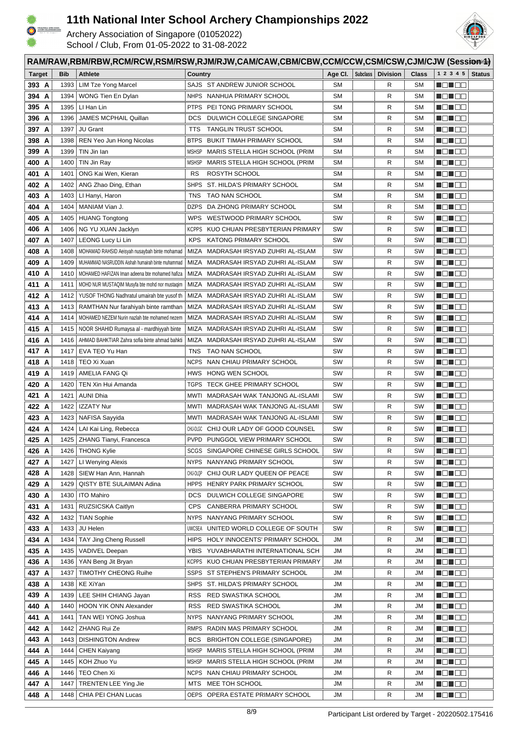

HTE-10400.<br>HOKSEN 3211

## **11th National Inter School Archery Championships 2022**

RAM/RAW,RBM/RBW,RCM/RCW,RSM/RSW,RJM/RJW,CAM/CAW,CBM/CBW,CCM/CCW,CSM/CSW,CJM/CJW (Session<sup>14</sup>)



| <b>Target</b>  | <b>Bib</b>   | <b>Athlete</b>                                    | Country                                                                     | Age CI.   | <b>Subclass</b> | <b>Division</b> | Class     | 1 2 3 4 5                  | <b>Status</b> |
|----------------|--------------|---------------------------------------------------|-----------------------------------------------------------------------------|-----------|-----------------|-----------------|-----------|----------------------------|---------------|
| 393 A          | 1393         | <b>LIM Tze Yong Marcel</b>                        | SAJS ST ANDREW JUNIOR SCHOOL                                                | <b>SM</b> |                 | R               | <b>SM</b> | HUHUU                      |               |
| 394 A          | 1394         | WONG Tien En Dylan                                | <b>NHPS</b><br>NANHUA PRIMARY SCHOOL                                        | <b>SM</b> |                 | R               | <b>SM</b> | <u> Henders</u>            |               |
| 395 A          | 1395         | LI Han Lin                                        | PEI TONG PRIMARY SCHOOL<br><b>PTPS</b>                                      | <b>SM</b> |                 | R               | <b>SM</b> | Ma Ma                      |               |
| 396<br>A       | 1396         | JAMES MCPHAIL Quillan                             | <b>DCS</b><br>DULWICH COLLEGE SINGAPORE                                     | <b>SM</b> |                 | R               | <b>SM</b> | MA NA TITO                 |               |
| 397<br>A       | 1397         | <b>JU Grant</b>                                   | <b>TANGLIN TRUST SCHOOL</b><br>TTS                                          | <b>SM</b> |                 | R               | <b>SM</b> | <u> Novembe</u>            |               |
| 398<br>A       | 1398         | REN Yeo Jun Hong Nicolas                          | <b>BTPS</b><br>BUKIT TIMAH PRIMARY SCHOOL                                   | <b>SM</b> |                 | R               | <b>SM</b> | <b>NONDE</b>               |               |
| 399<br>A       | 1399         | TIN Jin Ian                                       | <b>MSHSP</b><br>MARIS STELLA HIGH SCHOOL (PRIM                              | <b>SM</b> |                 | R               | <b>SM</b> | <u> Hellen</u>             |               |
| 400<br>A       | 1400         | TIN Jin Ray                                       | <b>MSHSP</b><br>MARIS STELLA HIGH SCHOOL (PRIM                              | <b>SM</b> |                 | R               | <b>SM</b> | Mar de                     |               |
| 401<br>A       | 1401         | ONG Kai Wen, Kieran                               | RS<br>ROSYTH SCHOOL                                                         | <b>SM</b> |                 | R               | <b>SM</b> | <u> Here a Biblio</u>      |               |
| 402 A          | 1402         | ANG Zhao Ding, Ethan                              | <b>SHPS</b><br>ST. HILDA'S PRIMARY SCHOOL                                   | <b>SM</b> |                 | R               | <b>SM</b> | Ma Hao                     |               |
| 403<br>A       | 1403         | LI Hanyi, Haron                                   | TAO NAN SCHOOL<br>TNS                                                       | <b>SM</b> |                 | R               | <b>SM</b> | Ma Hao                     |               |
| 404 A          | 1404         | MANIAM Vian J.                                    | <b>DZPS</b><br>DA ZHONG PRIMARY SCHOOL                                      | <b>SM</b> |                 | R               | <b>SM</b> | MONOC                      |               |
| 405 A          | 1405         | <b>HUANG Tongtong</b>                             | <b>WPS</b><br>WESTWOOD PRIMARY SCHOOL                                       | SW        |                 | R               | SW        | MEN E E                    |               |
| 406<br>A       | 1406         | NG YU XUAN Jacklyn                                | <b>KCPPS</b><br>KUO CHUAN PRESBYTERIAN PRIMARY                              | SW        |                 | R               | SW        | Man de                     |               |
| 407 A          | 1407         | LEONG Lucy Li Lin                                 | KATONG PRIMARY SCHOOL<br><b>KPS</b>                                         | SW        |                 | R               | SW        | MEN E E                    |               |
| A<br>408       | 1408         | MOHAMAD RAHSID Aeisyah nusaybah binte mohamad     | <b>MIZA</b><br>MADRASAH IRSYAD ZUHRI AL-ISLAM                               | SW        |                 | R               | SW        | MEN BE                     |               |
| 409<br>A       | 1409         | MUHAMMAD NASRUDDIN Aishah humairah binte muhammad | MIZA<br>MADRASAH IRSYAD ZUHRI AL-ISLAM                                      | SW        |                 | R               | SW        | MO HOO                     |               |
| 410 A          | 1410         | MOHAMED HAFIZAN Iman adeena bte mohamed hafiza    | MIZA<br>MADRASAH IRSYAD ZUHRI AL-ISLAM                                      | SW        |                 | R               | SW        | Mad de                     |               |
| 411 A          | 1411         | MOHD NUR MUSTAQIM Musyfa bte mohd nor mustaqim    | MIZA<br>MADRASAH IRSYAD ZUHRI AL-ISLAM                                      | SW        |                 | R               | SW        | MO U O O                   |               |
| 412 A          | 1412         | YUSOF THONG Nadhratul umairah bte yusof th        | MIZA<br>MADRASAH IRSYAD ZUHRI AL-ISLAM                                      | SW        |                 | R               | SW        | Man an                     |               |
| 413 A          | 1413         | RAMTHAN Nur farahiyah binte ramthan               | MIZA<br>MADRASAH IRSYAD ZUHRI AL-ISLAM                                      | SW        |                 | R               | SW        | MON OO                     |               |
| 414 A          | 1414         | MOHAMED NEZEM Nurin nazlah bte mohamed nezem      | MIZA<br>MADRASAH IRSYAD ZUHRI AL-ISLAM                                      | SW        |                 | R               | SW        | NOT EO                     |               |
| 415 A          | 1415         | NOOR SHAHID Rumaysa al - mardhiyyah binte         | MADRASAH IRSYAD ZUHRI AL-ISLAM<br>MIZA                                      | SW        |                 | R               | SW        | N EN E E                   |               |
| 416<br>A       | 1416         | AHMAD BAHKTIAR Zahra sofia binte ahmad bahkti     | MIZA<br>MADRASAH IRSYAD ZUHRI AL-ISLAM                                      | SW        |                 | R               | SW        | MON 88                     |               |
| 417<br>A       | 1417         | EVA TEO Yu Han                                    | <b>TAO NAN SCHOOL</b><br>TNS                                                | SW        |                 | R               | SW        | Martin Biblio              |               |
| 418 A          | 1418         | TEO Xi Xuan                                       | <b>NCPS</b><br>NAN CHIAU PRIMARY SCHOOL                                     | SW        |                 | R               | SW        | <b>MONDO</b>               |               |
| 419 A          | 1419         | AMELIA FANG Qi                                    | HONG WEN SCHOOL<br>HWS                                                      | SW        |                 | R               | SW        | Martin Bill                |               |
| 420<br>A       | 1420         | TEN Xin Hui Amanda                                | TECK GHEE PRIMARY SCHOOL<br>TGPS                                            | SW        |                 | R               | SW        | MONDO                      |               |
| 421<br>A       | 1421         | <b>AUNI Dhia</b>                                  | MWTI<br>MADRASAH WAK TANJONG AL-ISLAMI                                      | SW        |                 | R               | SW        | MON OO                     |               |
| 422 A          | 1422         | <b>IZZATY Nur</b>                                 | <b>MWTI</b><br>MADRASAH WAK TANJONG AL-ISLAMI                               | SW        |                 | R               | SW        | N EN EO                    |               |
| 423<br>A       | 1423         | NAFISA Sayyida                                    | MADRASAH WAK TANJONG AL-ISLAMI<br>MWTI<br>CHIJ-OLGC                         | SW<br>SW  |                 | R               | SW<br>SW  | Man Sia                    |               |
| 424<br>A       | 1424<br>1425 | LAI Kai Ling, Rebecca<br>ZHANG Tianyi, Francesca  | CHIJ OUR LADY OF GOOD COUNSEL<br><b>PVPD</b><br>PUNGGOL VIEW PRIMARY SCHOOL | SW        |                 | R<br>R          | SW        | Man Sia                    |               |
| 425 A<br>426 A |              | 1426   THONG Kylie                                | SCGS SINGAPORE CHINESE GIRLS SCHOOL                                         | SW        |                 | R               | SW        | <u> Henders</u><br>MON E O |               |
| 427 A          |              | 1427   LI Wenying Alexis                          | <b>NYPS</b><br>NANYANG PRIMARY SCHOOL                                       | SW        |                 | R               | SW        | <b>NOTICE</b>              |               |
| 428 A          | 1428         | SIEW Han Ann, Hannah                              | CHIJ-OLQP<br>CHIJ OUR LADY QUEEN OF PEACE                                   | SW        |                 | R               | SW        | HE HE                      |               |
| 429 A          | 1429         | QISTY BTE SULAIMAN Adina                          | <b>HPPS</b><br>HENRY PARK PRIMARY SCHOOL                                    | SW        |                 | R               | SW        | N EN EN                    |               |
| 430 A          | 1430         | <b>ITO Mahiro</b>                                 | DULWICH COLLEGE SINGAPORE<br><b>DCS</b>                                     | SW        |                 | R               | SW        | n di Ba                    |               |
| 431 A          | 1431         | RUZSICSKA Caitlyn                                 | <b>CPS</b><br>CANBERRA PRIMARY SCHOOL                                       | SW        |                 | R               | SW        | MEN DE                     |               |
| 432 A          | 1432         | <b>TIAN Sophie</b>                                | NANYANG PRIMARY SCHOOL<br><b>NYPS</b>                                       | sw        |                 | R               | SW        | MEN DE                     |               |
| 433 A          | 1433         | JU Helen                                          | UNITED WORLD COLLEGE OF SOUTH<br><b>UWCSEA</b>                              | SW        |                 | R               | SW        | Ma da                      |               |
| 434 A          | 1434         | <b>TAY Jing Cheng Russell</b>                     | <b>HIPS</b><br>HOLY INNOCENTS' PRIMARY SCHOOL                               | JM        |                 | R               | JM        | MON OO                     |               |
| 435 A          | 1435         | VADIVEL Deepan                                    | YUVABHARATHI INTERNATIONAL SCH<br><b>YBIS</b>                               | JM        |                 | R               | JM        | <u> Heilige</u>            |               |
| 436 A          | 1436         | YAN Beng Jit Bryan                                | <b>KCPPS</b><br>KUO CHUAN PRESBYTERIAN PRIMARY                              | JM        |                 | R               | JM        | MEN E E                    |               |
| 437 A          | 1437         | <b>TIMOTHY CHEONG Ruihe</b>                       | SSPS ST STEPHEN'S PRIMARY SCHOOL                                            | JM        |                 | R               | JM        | MEN EE                     |               |
| 438 A          | 1438         | KE XiYan                                          | SHPS ST. HILDA'S PRIMARY SCHOOL                                             | JM        |                 | R               | JM        | MO MOO                     |               |
| 439 A          | 1439         | LEE SHIH CHIANG Jayan                             | RED SWASTIKA SCHOOL<br><b>RSS</b>                                           | JM        |                 | R               | JM        | MEN E E                    |               |
| 440 A          | 1440         | HOON YIK ONN Alexander                            | RED SWASTIKA SCHOOL<br><b>RSS</b>                                           | JM        |                 | R               | JM        | MEN DE                     |               |
| 441 A          | 1441         | TAN WEI YONG Joshua                               | NANYANG PRIMARY SCHOOL<br><b>NYPS</b>                                       | JM        |                 | R               | JM        | MO MOO                     |               |
| 442 A          | 1442         | ZHANG Rui Ze                                      | RADIN MAS PRIMARY SCHOOL<br>RMPS                                            | JM        |                 | R               | JM        | MO SO S                    |               |
| 443 A          | 1443         | <b>DISHINGTON Andrew</b>                          | <b>BCS</b><br><b>BRIGHTON COLLEGE (SINGAPORE)</b>                           | JM        |                 | R               | JM        | Malaysia S                 |               |
| 444 A          | 1444         | <b>CHEN Kaiyang</b>                               | <b>MSHSP</b><br>MARIS STELLA HIGH SCHOOL (PRIM                              | JM        |                 | R               | JM        | MONDER                     |               |
| 445 A          | 1445         | KOH Zhuo Yu                                       | MARIS STELLA HIGH SCHOOL (PRIM<br><b>MSHSP</b>                              | JM        |                 | R               | JM        | MON 88                     |               |
| 446 A          | 1446         | TEO Chen Xi                                       | NAN CHIAU PRIMARY SCHOOL<br><b>NCPS</b>                                     | JM        |                 | R               | JM        | MEN DE                     |               |
| 447 A          | 1447         | <b>TRENTEN LEE Ying Jie</b>                       | MEE TOH SCHOOL<br>MTS                                                       | JM        |                 | R               | JM        | N EN E E                   |               |
| 448 A          | 1448         | CHIA PEI CHAN Lucas                               | OPERA ESTATE PRIMARY SCHOOL<br>OEPS                                         | JM        |                 | R               | JM        | <u> Nijeri Se</u>          |               |